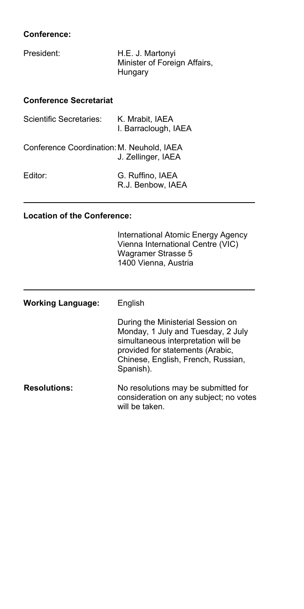#### 66 **Conference:**

| President: | H.E. J. Martonyi             |
|------------|------------------------------|
|            | Minister of Foreign Affairs, |
|            | Hungary                      |

#### **Conference Secretariat**

| Scientific Secretaries:                   | K. Mrabit, IAEA<br>I. Barraclough, IAEA |
|-------------------------------------------|-----------------------------------------|
| Conference Coordination: M. Neuhold, IAEA | J. Zellinger, IAEA                      |
| Editor:                                   | G. Ruffino, IAEA<br>R.J. Benbow. IAEA   |

#### **Location of the Conference:**

International Atomic Energy Agency Vienna International Centre (VIC) Wagramer Strasse 5 1400 Vienna, Austria

| <b>Working Language:</b> | English                                                                                                                                                                                               |  |  |
|--------------------------|-------------------------------------------------------------------------------------------------------------------------------------------------------------------------------------------------------|--|--|
|                          | During the Ministerial Session on<br>Monday, 1 July and Tuesday, 2 July<br>simultaneous interpretation will be<br>provided for statements (Arabic,<br>Chinese, English, French, Russian,<br>Spanish). |  |  |
| <b>Resolutions:</b>      | No resolutions may be submitted for<br>consideration on any subject; no votes<br>will be taken.                                                                                                       |  |  |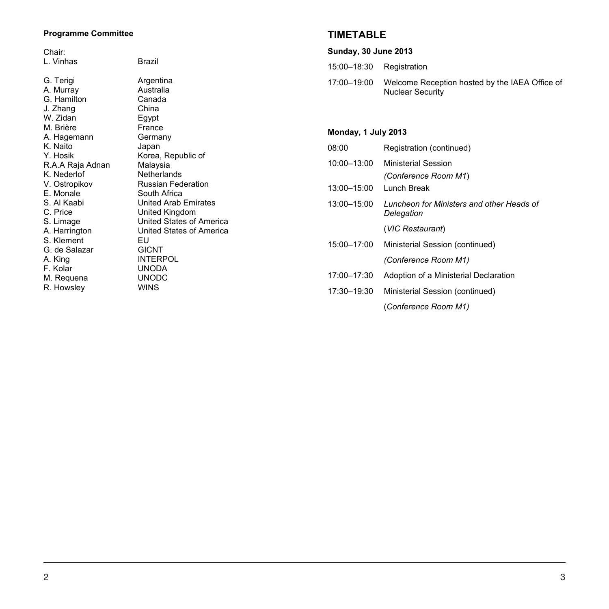### **Programme Committee**

Chair:<br>L. Vinh

| L. Vinhas        | Brazil                      |
|------------------|-----------------------------|
| G. Terigi        | Argentina                   |
| A. Murray        | Australia                   |
| G. Hamilton      | Canada                      |
| J. Zhang         | China                       |
| W. Zidan         | Egypt                       |
| M. Brière        | France                      |
| A. Hagemann      | Germany                     |
| K. Naito         | Japan                       |
| Y. Hosik         | Korea, Republic of          |
| R.A.A Raja Adnan | Malaysia                    |
| K. Nederlof      | Netherlands                 |
| V. Ostropikov    | <b>Russian Federation</b>   |
| E. Monale        | South Africa                |
| S. Al Kaabi      | <b>United Arab Emirates</b> |
| C. Price         | United Kingdom              |
| S. Limage        | United States of America    |
| A. Harrington    | United States of America    |
| S. Klement       | ΕU                          |
| G. de Salazar    | <b>GICNT</b>                |
| A. King          | <b>INTERPOL</b>             |
| F. Kolar         | <b>UNODA</b>                |
| M. Requena       | <b>UNODC</b>                |
| R. Howslev       | <b>WINS</b>                 |

# **TIMETABLE**

| <b>Sunday, 30 June 2013</b> |  |  |  |
|-----------------------------|--|--|--|
|-----------------------------|--|--|--|

| 15:00-18:30 | Registration |
|-------------|--------------|
|-------------|--------------|

17:00–19:00 Welcome Reception hosted by the IAEA Office of Nuclear Security

# **Monday, 1 July 2013**

| 08:00       | Registration (continued)                                |
|-------------|---------------------------------------------------------|
| 10:00-13:00 | Ministerial Session<br>(Conference Room M1)             |
| 13:00-15:00 | Lunch Break                                             |
| 13:00-15:00 | Luncheon for Ministers and other Heads of<br>Delegation |
|             | (VIC Restaurant)                                        |
| 15:00-17:00 | Ministerial Session (continued)                         |
|             | (Conference Room M1)                                    |
| 17:00-17:30 | Adoption of a Ministerial Declaration                   |
| 17:30-19:30 | Ministerial Session (continued)                         |
|             | (Conference Room M1)                                    |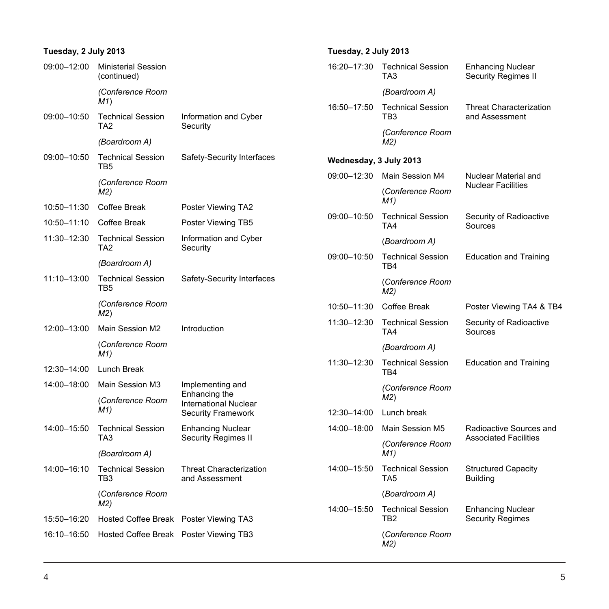#### **Tuesday, 2 July 2013**  09:00–12:00 Ministerial Session (continued) *(Conference Room M1*) 09:00–10:50 Technical Session TA2 *(Boardroom A)*  Information and Cyber Security 09:00–10:50 Technical Session TB5 *(Conference Room M2)*  Safety-Security Interfaces 10:50–11:30 Coffee Break Poster Viewing TA2 10:50–11:10 Coffee Break Poster Viewing TB5 11:30–12:30 Technical Session TA2 *(Boardroom A)*  Information and Cyber Security 11:10–13:00 Technical Session TB5 *(Conference Room M2*) Safety-Security Interfaces 12:00–13:00 Main Session M2 (*Conference Room M1)* Introduction 12:30–14:00 Lunch Break 14:00–18:00 Main Session M3 (*Conference Room M1)* Implementing and Enhancing the International Nuclear Security Framework 14:00–15:50 Technical Session TA3 *(Boardroom A)*  Enhancing Nuclear Security Regimes II 14:00–16:10 Technical Session TB3 (*Conference Room*  Threat Characterization and Assessment

*M2)* 15:50–16:20 Hosted Coffee Break Poster Viewing TA3 16:10–16:50 Hosted Coffee Break Poster Viewing TB3

# **Tuesday, 2 July 2013**

| 16:20-17:30            | <b>Technical Session</b><br>TA3             | <b>Enhancing Nuclear</b><br>Security Regimes II     |
|------------------------|---------------------------------------------|-----------------------------------------------------|
|                        | (Boardroom A)                               |                                                     |
| 16:50-17:50            | <b>Technical Session</b><br>TB3             | <b>Threat Characterization</b><br>and Assessment    |
|                        | (Conference Room<br>M2)                     |                                                     |
| Wednesday, 3 July 2013 |                                             |                                                     |
| 09:00-12:30            | Main Session M4                             | Nuclear Material and                                |
|                        | (Conference Room<br>M1)                     | <b>Nuclear Facilities</b>                           |
| 09:00-10:50            | <b>Technical Session</b><br>TA4             | Security of Radioactive<br>Sources                  |
|                        | (Boardroom A)                               |                                                     |
| 09:00-10:50            | <b>Technical Session</b><br>TB4             | <b>Education and Training</b>                       |
|                        | (Conference Room<br>M2)                     |                                                     |
| 10:50-11:30            | Coffee Break                                | Poster Viewing TA4 & TB4                            |
| 11:30-12:30            | <b>Technical Session</b><br>TA4             | Security of Radioactive<br>Sources                  |
|                        | (Boardroom A)                               |                                                     |
| 11:30-12:30            | <b>Technical Session</b><br>TB4             | <b>Education and Training</b>                       |
|                        | (Conference Room<br>M2)                     |                                                     |
| 12:30-14:00            | Lunch break                                 |                                                     |
| 14:00-18:00            | Main Session M5                             | Radioactive Sources and                             |
|                        | (Conference Room<br>M1)                     | <b>Associated Facilities</b>                        |
| 14:00-15:50            | <b>Technical Session</b><br>TA <sub>5</sub> | <b>Structured Capacity</b><br><b>Building</b>       |
|                        | (Boardroom A)                               |                                                     |
| 14:00-15:50            | <b>Technical Session</b><br>TB <sub>2</sub> | <b>Enhancing Nuclear</b><br><b>Security Regimes</b> |
|                        | (Conference Room<br>M2)                     |                                                     |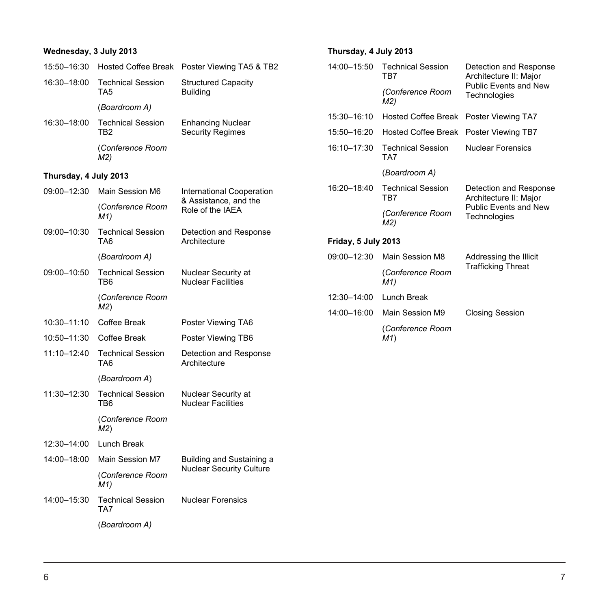| Wednesday, 3 July 2013 |                                             |                                                     | Thursday, 4 July 2013 |                                        |                                                  |
|------------------------|---------------------------------------------|-----------------------------------------------------|-----------------------|----------------------------------------|--------------------------------------------------|
| 15:50-16:30            |                                             | Hosted Coffee Break Poster Viewing TA5 & TB2        | 14:00-15:50           | <b>Technical Session</b><br>TB7        | Detection and Response<br>Architecture II: Major |
| 16:30-18:00<br>TA5     | <b>Technical Session</b>                    | <b>Structured Capacity</b><br><b>Building</b>       |                       | (Conference Room<br>M2)                | <b>Public Events and New</b><br>Technologies     |
|                        | (Boardroom A)                               |                                                     | 15:30-16:10           | Hosted Coffee Break Poster Viewing TA7 |                                                  |
| 16:30-18:00            | <b>Technical Session</b><br>TB <sub>2</sub> | <b>Enhancing Nuclear</b><br><b>Security Regimes</b> | 15:50-16:20           | <b>Hosted Coffee Break</b>             | Poster Viewing TB7                               |
|                        | (Conference Room<br>M2)                     |                                                     | 16:10-17:30           | <b>Technical Session</b><br>TA7        | <b>Nuclear Forensics</b>                         |
| Thursday, 4 July 2013  |                                             |                                                     |                       | (Boardroom A)                          |                                                  |
| 09:00-12:30            | Main Session M6                             | International Cooperation                           | 16:20-18:40           | <b>Technical Session</b><br>TB7        | Detection and Response<br>Architecture II: Major |
|                        | (Conference Room<br>M1)                     | & Assistance, and the<br>Role of the IAEA           |                       | (Conference Room<br>M2)                | Public Events and New<br>Technologies            |
| 09:00-10:30            | <b>Technical Session</b><br>TA6             | Detection and Response<br>Architecture              | Friday, 5 July 2013   |                                        |                                                  |
|                        | (Boardroom A)                               |                                                     | 09:00-12:30           | Main Session M8                        | Addressing the Illicit                           |
| 09:00-10:50<br>TB6     | <b>Technical Session</b>                    | Nuclear Security at<br><b>Nuclear Facilities</b>    |                       | (Conference Room<br>M1)                | <b>Trafficking Threat</b>                        |
|                        | (Conference Room                            |                                                     | 12:30-14:00           | Lunch Break                            |                                                  |
|                        | M2)                                         |                                                     | 14:00-16:00           | Main Session M9                        | <b>Closing Session</b>                           |
| $10:30 - 11:10$        | Coffee Break                                | Poster Viewing TA6                                  | (Conference Room      |                                        |                                                  |
| 10:50-11:30            | Coffee Break                                | Poster Viewing TB6                                  |                       | M1)                                    |                                                  |
| 11:10-12:40            | <b>Technical Session</b><br>TA6             | Detection and Response<br>Architecture              |                       |                                        |                                                  |
|                        | (Boardroom A)                               |                                                     |                       |                                        |                                                  |
| 11:30-12:30            | <b>Technical Session</b><br>TB6             | Nuclear Security at<br><b>Nuclear Facilities</b>    |                       |                                        |                                                  |
|                        | (Conference Room<br>M2)                     |                                                     |                       |                                        |                                                  |
| 12:30-14:00            | Lunch Break                                 |                                                     |                       |                                        |                                                  |
| 14:00-18:00            | Main Session M7                             | Building and Sustaining a                           |                       |                                        |                                                  |
|                        | (Conference Room<br>M1)                     | <b>Nuclear Security Culture</b>                     |                       |                                        |                                                  |
| 14:00-15:30            | <b>Technical Session</b><br>TA7             | <b>Nuclear Forensics</b>                            |                       |                                        |                                                  |
|                        | (Boardroom A)                               |                                                     |                       |                                        |                                                  |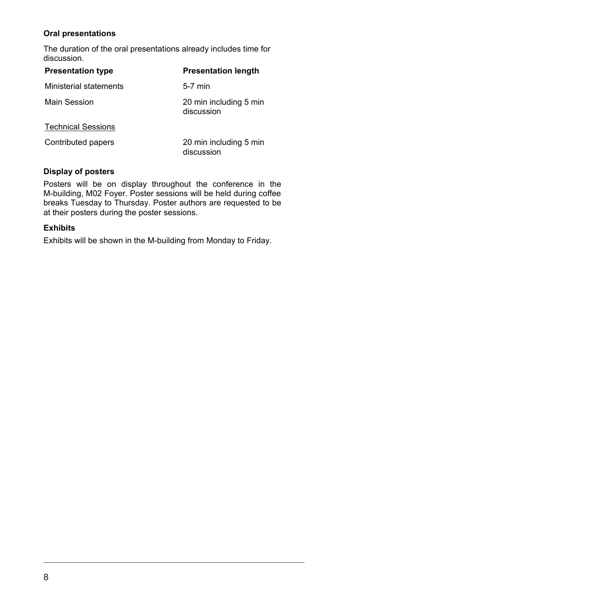#### **Oral presentations**

The duration of the oral presentations already includes time for discussion.

| <b>Presentation type</b>  | <b>Presentation length</b>           |
|---------------------------|--------------------------------------|
| Ministerial statements    | $5-7$ min                            |
| Main Session              | 20 min including 5 min<br>discussion |
| <b>Technical Sessions</b> |                                      |
| Contributed papers        | 20 min including 5 min<br>discussion |

## **Display of posters**

Posters will be on display throughout the conference in the M-building, M02 Foyer. Poster sessions will be held during coffee breaks Tuesday to Thursday. Poster authors are requested to be at their posters during the poster sessions.

#### **Exhibits**

Exhibits will be shown in the M-building from Monday to Friday.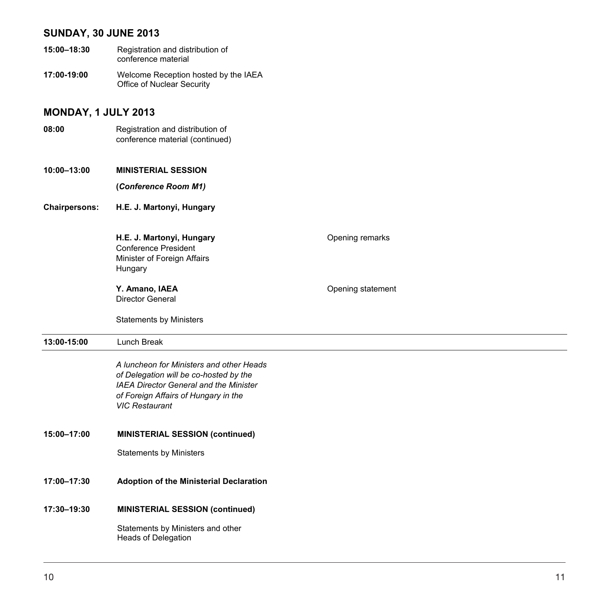### **SUNDAY, 30 JUNE 2013**

- **15:00–18:30** Registration and distribution of conference material
- **17:00-19:00** Welcome Reception hosted by the IAEA Office of Nuclear Security

# **MONDAY, 1 JULY 2013**

**08:00** Registration and distribution of conference material (continued)

**10:00–13:00 MINISTERIAL SESSION**

 **(***Conference Room M1)*

**Chairpersons: H.E. J. Martonyi, Hungary** 

**H.E. J. Martonyi, Hungary Consumers** Opening remarks Conference President Minister of Foreign Affairs Hungary

**Y.** Amano, IAEA **Discriming Statement** Director General

Statements by Ministers

#### **13:00-15:00** Lunch Break

*A luncheon for Ministers and other Heads of Delegation will be co-hosted by the IAEA Director General and the Minister of Foreign Affairs of Hungary in the VIC Restaurant* 

#### **15:00–17:00 MINISTERIAL SESSION (continued)**

Statements by Ministers

**17:00–17:30 Adoption of the Ministerial Declaration** 

#### **17:30–19:30 MINISTERIAL SESSION (continued)**

Statements by Ministers and other Heads of Delegation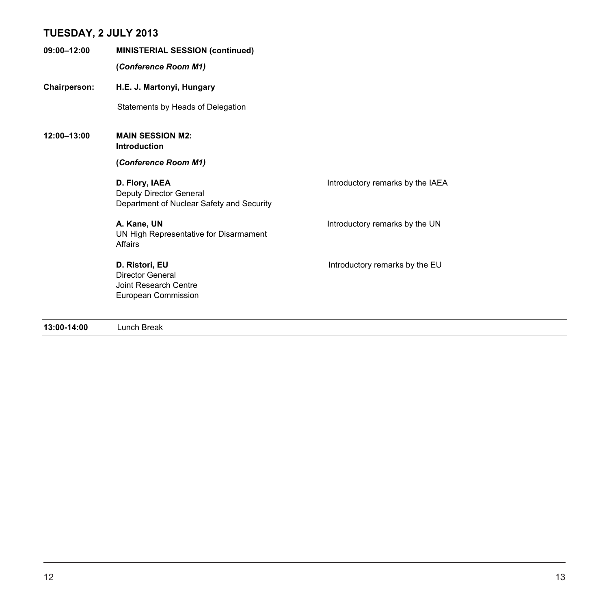### **TUESDAY, 2 JULY 2013**

**09:00–12:00 MINISTERIAL SESSION (continued) (***Conference Room M1)* **Chairperson: H.E. J. Martonyi, Hungary**  Statements by Heads of Delegation **12:00–13:00 MAIN SESSION M2: Introduction (***Conference Room M1)*  **D. Flory, IAEA Introductory remarks by the IAEA** Deputy Director General Department of Nuclear Safety and Security **A. Kane, UN A. Kane, UN Introductory remarks by the UN** UN High Representative for Disarmament **Affairs D. Ristori, EU Introductory remarks by the EU** Director General Joint Research Centre European Commission

**13:00-14:00** Lunch Break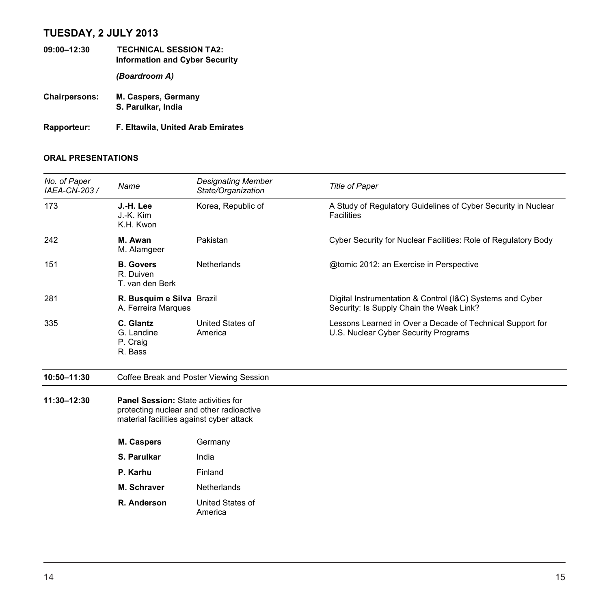# **TUESDAY, 2 JULY 2013**

- **09:00–12:30 TECHNICAL SESSION TA2: Information and Cyber Security**  *(Boardroom A)*  **Chairpersons: M. Caspers, Germany S. Parulkar, India**
- **Rapporteur: F. Eltawila, United Arab Emirates**

| No. of Paper<br>IAEA-CN-203 / | Name                                                                                                                               | <b>Designating Member</b><br>State/Organization | <b>Title of Paper</b>                                                                                 |
|-------------------------------|------------------------------------------------------------------------------------------------------------------------------------|-------------------------------------------------|-------------------------------------------------------------------------------------------------------|
| 173                           | J.-H. Lee<br>J.-K. Kim<br>K.H. Kwon                                                                                                | Korea, Republic of                              | A Study of Regulatory Guidelines of Cyber Security in Nuclear<br><b>Facilities</b>                    |
| 242                           | M. Awan<br>M. Alamgeer                                                                                                             | Pakistan                                        | Cyber Security for Nuclear Facilities: Role of Regulatory Body                                        |
| 151                           | <b>B.</b> Govers<br>R. Duiven<br>T. van den Berk                                                                                   | Netherlands                                     | @tomic 2012: an Exercise in Perspective                                                               |
| 281                           | R. Busquim e Silva Brazil<br>A. Ferreira Marques                                                                                   |                                                 | Digital Instrumentation & Control (I&C) Systems and Cyber<br>Security: Is Supply Chain the Weak Link? |
| 335                           | C. Glantz<br>G. Landine<br>P. Craig<br>R. Bass                                                                                     | United States of<br>America                     | Lessons Learned in Over a Decade of Technical Support for<br>U.S. Nuclear Cyber Security Programs     |
| 10:50-11:30                   | Coffee Break and Poster Viewing Session                                                                                            |                                                 |                                                                                                       |
| 11:30-12:30                   | <b>Panel Session: State activities for</b><br>protecting nuclear and other radioactive<br>material facilities against cyber attack |                                                 |                                                                                                       |
|                               | M. Caspers                                                                                                                         | Germany                                         |                                                                                                       |
|                               | S. Parulkar                                                                                                                        | India                                           |                                                                                                       |
|                               | P. Karhu                                                                                                                           | Finland                                         |                                                                                                       |
|                               | M. Schraver                                                                                                                        | Netherlands                                     |                                                                                                       |
|                               | R. Anderson                                                                                                                        | United States of<br>America                     |                                                                                                       |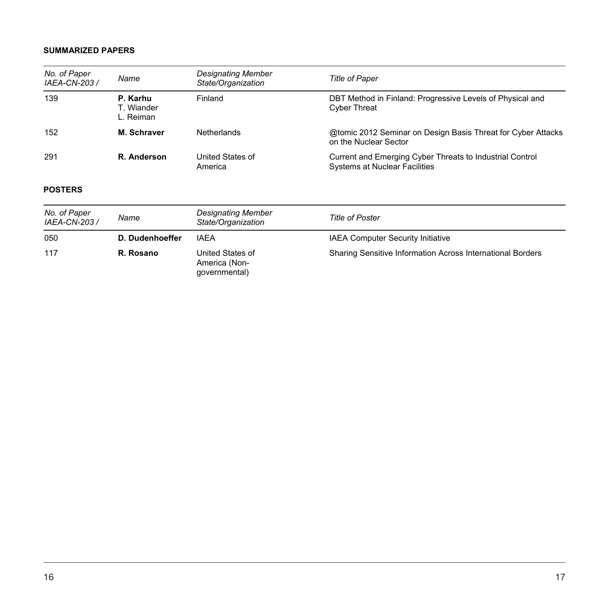| No. of Paper<br>IAEA-CN-203 / | Name                                | Designating Member<br>State/Organization           | <b>Title of Paper</b>                                                                     |
|-------------------------------|-------------------------------------|----------------------------------------------------|-------------------------------------------------------------------------------------------|
| 139                           | P. Karhu<br>T. Wiander<br>L. Reiman | Finland                                            | DBT Method in Finland: Progressive Levels of Physical and<br><b>Cyber Threat</b>          |
| 152                           | M. Schraver                         | Netherlands                                        | @tomic 2012 Seminar on Design Basis Threat for Cyber Attacks<br>on the Nuclear Sector     |
| 291                           | R. Anderson                         | United States of<br>America                        | Current and Emerging Cyber Threats to Industrial Control<br>Systems at Nuclear Facilities |
| <b>POSTERS</b>                |                                     |                                                    |                                                                                           |
| No. of Paper<br>IAEA-CN-203 / | Name                                | Designating Member<br>State/Organization           | <b>Title of Poster</b>                                                                    |
| 050                           | D. Dudenhoeffer                     | <b>IAEA</b>                                        | <b>IAEA Computer Security Initiative</b>                                                  |
| 117                           | R. Rosano                           | United States of<br>America (Non-<br>qovernmental) | Sharing Sensitive Information Across International Borders                                |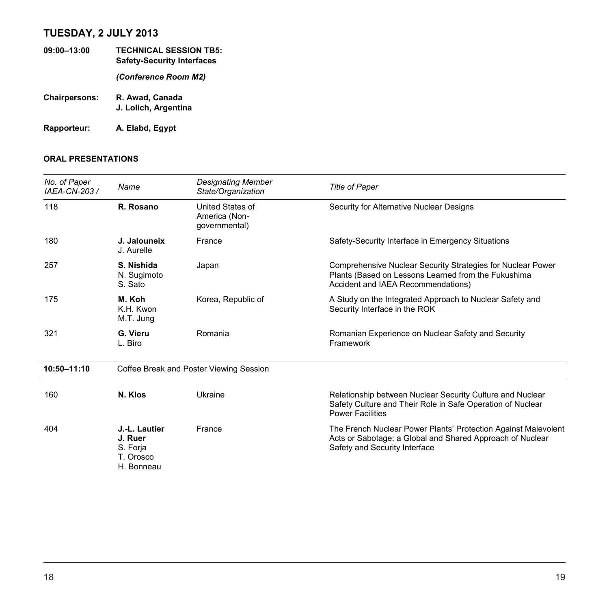# **TUESDAY, 2 JULY 2013**

- **09:00–13:00 TECHNICAL SESSION TB5: Safety-Security Interfaces**  *(Conference Room M2)*  **Chairpersons: R. Awad, Canada J. Lolich, Argentina**
- **Rapporteur: A. Elabd, Egypt**

| No. of Paper<br>IAEA-CN-203 / | Name                                                            | <b>Designating Member</b><br>State/Organization    | <b>Title of Paper</b>                                                                                                                                        |
|-------------------------------|-----------------------------------------------------------------|----------------------------------------------------|--------------------------------------------------------------------------------------------------------------------------------------------------------------|
| 118                           | R. Rosano                                                       | United States of<br>America (Non-<br>qovernmental) | Security for Alternative Nuclear Designs                                                                                                                     |
| 180                           | J. Jalouneix<br>J. Aurelle                                      | France                                             | Safety-Security Interface in Emergency Situations                                                                                                            |
| 257                           | S. Nishida<br>N. Sugimoto<br>S. Sato                            | Japan                                              | Comprehensive Nuclear Security Strategies for Nuclear Power<br>Plants (Based on Lessons Learned from the Fukushima<br>Accident and IAEA Recommendations)     |
| 175                           | M. Koh<br>K.H. Kwon<br>M.T. Jung                                | Korea, Republic of                                 | A Study on the Integrated Approach to Nuclear Safety and<br>Security Interface in the ROK                                                                    |
| 321                           | G. Vieru<br>L. Biro                                             | Romania                                            | Romanian Experience on Nuclear Safety and Security<br>Framework                                                                                              |
| 10:50-11:10                   | Coffee Break and Poster Viewing Session                         |                                                    |                                                                                                                                                              |
| 160                           | N. Klos                                                         | Ukraine                                            | Relationship between Nuclear Security Culture and Nuclear<br>Safety Culture and Their Role in Safe Operation of Nuclear<br><b>Power Facilities</b>           |
| 404                           | J.-L. Lautier<br>J. Ruer<br>S. Forja<br>T. Orosco<br>H. Bonneau | France                                             | The French Nuclear Power Plants' Protection Against Malevolent<br>Acts or Sabotage: a Global and Shared Approach of Nuclear<br>Safety and Security Interface |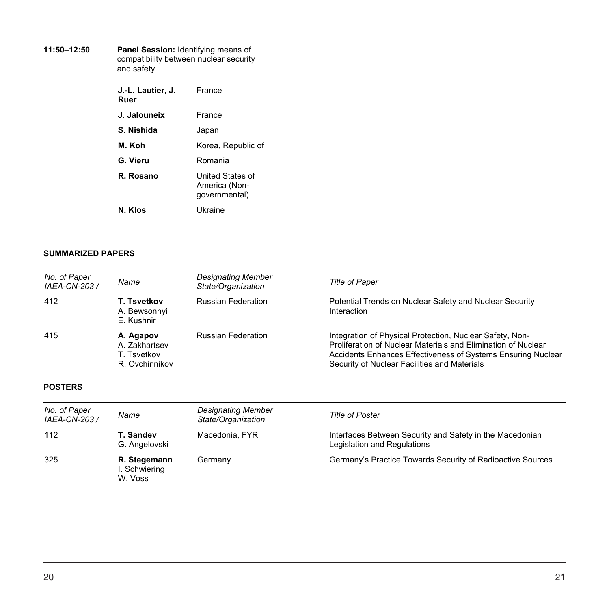| 11:50-12:50 | <b>Panel Session: Identifying means of</b><br>compatibility between nuclear security<br>and safety |                                                    |  |
|-------------|----------------------------------------------------------------------------------------------------|----------------------------------------------------|--|
|             | J.-L. Lautier, J.<br>Ruer                                                                          | <b>France</b>                                      |  |
|             | J. Jalouneix                                                                                       | France                                             |  |
|             | S. Nishida                                                                                         | Japan                                              |  |
|             | M. Koh                                                                                             | Korea, Republic of                                 |  |
|             | G. Vieru                                                                                           | Romania                                            |  |
|             | R. Rosano                                                                                          | United States of<br>America (Non-<br>qovernmental) |  |
|             | N. Klos                                                                                            | Ukraine                                            |  |

| No. of Paper<br>IAEA-CN-203 / | Name                                                        | <b>Designating Member</b><br>State/Organization | <b>Title of Paper</b>                                                                                                                                                                                                                     |
|-------------------------------|-------------------------------------------------------------|-------------------------------------------------|-------------------------------------------------------------------------------------------------------------------------------------------------------------------------------------------------------------------------------------------|
| 412                           | T. Tsvetkov<br>A. Bewsonnyi<br>E. Kushnir                   | <b>Russian Federation</b>                       | Potential Trends on Nuclear Safety and Nuclear Security<br>Interaction                                                                                                                                                                    |
| 415                           | A. Agapov<br>A. Zakhartsev<br>T. Tsvetkov<br>R. Ovchinnikov | <b>Russian Federation</b>                       | Integration of Physical Protection, Nuclear Safety, Non-<br>Proliferation of Nuclear Materials and Elimination of Nuclear<br>Accidents Enhances Effectiveness of Systems Ensuring Nuclear<br>Security of Nuclear Facilities and Materials |

| No. of Paper<br>IAEA-CN-203 / | Name                                     | <b>Designating Member</b><br>State/Organization | <b>Title of Poster</b>                                                                  |
|-------------------------------|------------------------------------------|-------------------------------------------------|-----------------------------------------------------------------------------------------|
| 112                           | T. Sandev<br>G. Angelovski               | Macedonia, FYR                                  | Interfaces Between Security and Safety in the Macedonian<br>Legislation and Regulations |
| 325                           | R. Stegemann<br>I. Schwiering<br>W. Voss | Germany                                         | Germany's Practice Towards Security of Radioactive Sources                              |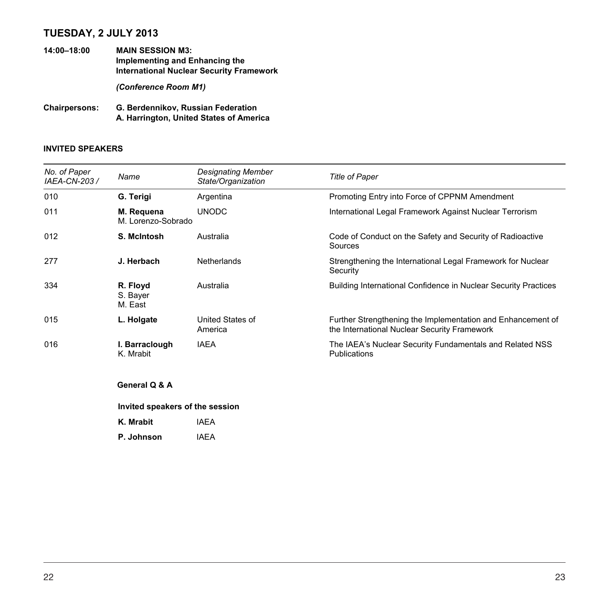# **TUESDAY, 2 JULY 2013**

**14:00–18:00 MAIN SESSION M3: Implementing and Enhancing the International Nuclear Security Framework** 

*(Conference Room M1)* 

**Chairpersons: G. Berdennikov, Russian Federation A. Harrington, United States of America** 

### **INVITED SPEAKERS**

| No. of Paper<br>IAEA-CN-203 / | Name                             | <b>Designating Member</b><br>State/Organization | <b>Title of Paper</b>                                                                                       |  |
|-------------------------------|----------------------------------|-------------------------------------------------|-------------------------------------------------------------------------------------------------------------|--|
| 010                           | G. Terigi                        | Argentina                                       | Promoting Entry into Force of CPPNM Amendment                                                               |  |
| 011                           | M. Requena<br>M. Lorenzo-Sobrado | <b>UNODC</b>                                    | International Legal Framework Against Nuclear Terrorism                                                     |  |
| 012                           | S. McIntosh                      | Australia                                       | Code of Conduct on the Safety and Security of Radioactive<br>Sources                                        |  |
| 277                           | J. Herbach                       | <b>Netherlands</b>                              | Strengthening the International Legal Framework for Nuclear<br>Security                                     |  |
| 334                           | R. Floyd<br>S. Bayer<br>M. East  | Australia                                       | Building International Confidence in Nuclear Security Practices                                             |  |
| 015                           | L. Holgate                       | United States of<br>America                     | Further Strengthening the Implementation and Enhancement of<br>the International Nuclear Security Framework |  |
| 016                           | I. Barraclough<br>K. Mrabit      | <b>IAEA</b>                                     | The IAEA's Nuclear Security Fundamentals and Related NSS<br>Publications                                    |  |
|                               | General Q & A                    |                                                 |                                                                                                             |  |
|                               | Invited speakers of the session  |                                                 |                                                                                                             |  |
|                               | K. Mrabit                        | <b>IAEA</b>                                     |                                                                                                             |  |

**P. Johnson** IAEA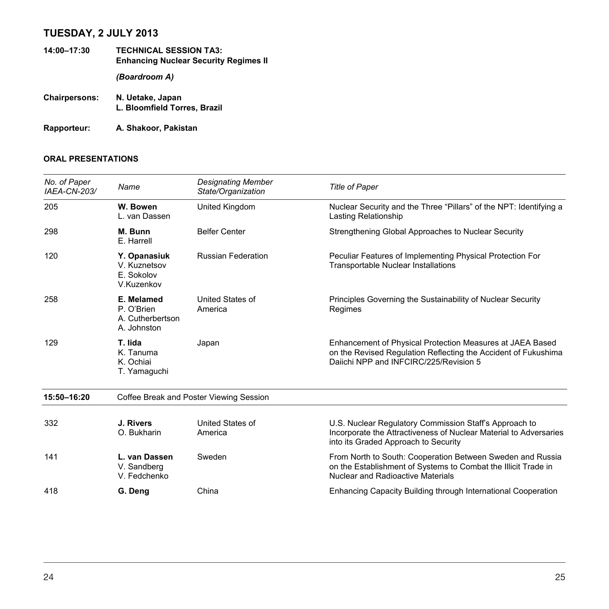# **TUESDAY, 2 JULY 2013**

- **14:00–17:30 TECHNICAL SESSION TA3: Enhancing Nuclear Security Regimes II**  *(Boardroom A)*  **Chairpersons: N. Uetake, Japan**
- **L. Bloomfield Torres, Brazil**

**Rapporteur: A. Shakoor, Pakistan**

| No. of Paper<br>IAEA-CN-203/ | Name                                                        | <b>Designating Member</b><br>State/Organization | <b>Title of Paper</b>                                                                                                                                                    |
|------------------------------|-------------------------------------------------------------|-------------------------------------------------|--------------------------------------------------------------------------------------------------------------------------------------------------------------------------|
| 205                          | W. Bowen<br>L. van Dassen                                   | United Kingdom                                  | Nuclear Security and the Three "Pillars" of the NPT: Identifying a<br>Lasting Relationship                                                                               |
| 298                          | M. Bunn<br>E. Harrell                                       | <b>Belfer Center</b>                            | Strengthening Global Approaches to Nuclear Security                                                                                                                      |
| 120                          | Y. Opanasiuk<br>V. Kuznetsov<br>E. Sokolov<br>V.Kuzenkov    | <b>Russian Federation</b>                       | Peculiar Features of Implementing Physical Protection For<br><b>Transportable Nuclear Installations</b>                                                                  |
| 258                          | E. Melamed<br>P. O'Brien<br>A. Cutherbertson<br>A. Johnston | United States of<br>America                     | Principles Governing the Sustainability of Nuclear Security<br>Regimes                                                                                                   |
| 129                          | T. lida<br>K. Tanuma<br>K. Ochiai<br>T. Yamaguchi           | Japan                                           | Enhancement of Physical Protection Measures at JAEA Based<br>on the Revised Regulation Reflecting the Accident of Fukushima<br>Daiichi NPP and INFCIRC/225/Revision 5    |
| 15:50-16:20                  | Coffee Break and Poster Viewing Session                     |                                                 |                                                                                                                                                                          |
| 332                          | J. Rivers<br>O. Bukharin                                    | United States of<br>America                     | U.S. Nuclear Regulatory Commission Staff's Approach to<br>Incorporate the Attractiveness of Nuclear Material to Adversaries<br>into its Graded Approach to Security      |
| 141                          | L. van Dassen<br>V. Sandberg<br>V. Fedchenko                | Sweden                                          | From North to South: Cooperation Between Sweden and Russia<br>on the Establishment of Systems to Combat the Illicit Trade in<br><b>Nuclear and Radioactive Materials</b> |
| 418                          | G. Deng                                                     | China                                           | Enhancing Capacity Building through International Cooperation                                                                                                            |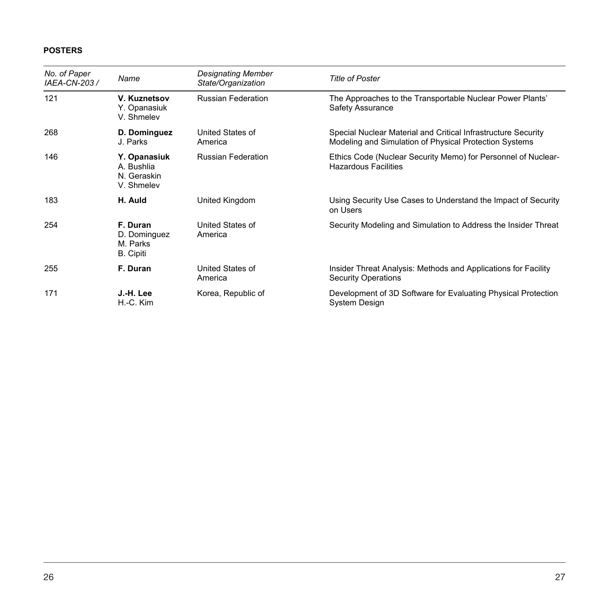| No. of Paper<br>IAEA-CN-203 / | Name                                                     | <b>Designating Member</b><br>State/Organization | <b>Title of Poster</b>                                                                                                  |
|-------------------------------|----------------------------------------------------------|-------------------------------------------------|-------------------------------------------------------------------------------------------------------------------------|
| 121                           | V. Kuznetsov<br>Y. Opanasiuk<br>V. Shmelev               | <b>Russian Federation</b>                       | The Approaches to the Transportable Nuclear Power Plants'<br>Safety Assurance                                           |
| 268                           | D. Dominguez<br>J. Parks                                 | United States of<br>America                     | Special Nuclear Material and Critical Infrastructure Security<br>Modeling and Simulation of Physical Protection Systems |
| 146                           | Y. Opanasiuk<br>A. Bushlia<br>N. Geraskin<br>V. Shmelev  | <b>Russian Federation</b>                       | Ethics Code (Nuclear Security Memo) for Personnel of Nuclear-<br><b>Hazardous Facilities</b>                            |
| 183                           | H. Auld                                                  | United Kingdom                                  | Using Security Use Cases to Understand the Impact of Security<br>on Users                                               |
| 254                           | F. Duran<br>D. Dominguez<br>M. Parks<br><b>B.</b> Cipiti | United States of<br>America                     | Security Modeling and Simulation to Address the Insider Threat                                                          |
| 255                           | F. Duran                                                 | United States of<br>America                     | Insider Threat Analysis: Methods and Applications for Facility<br><b>Security Operations</b>                            |
| 171                           | J.-H. Lee<br>H.-C. Kim                                   | Korea, Republic of                              | Development of 3D Software for Evaluating Physical Protection<br>System Design                                          |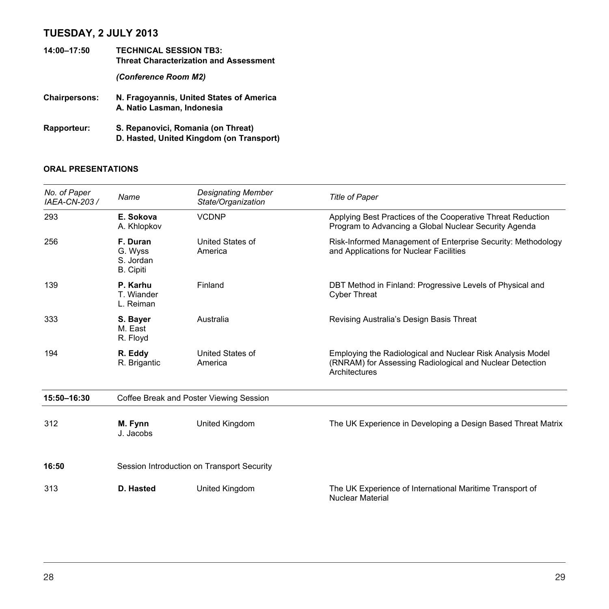# **TUESDAY, 2 JULY 2013**

| 14:00-17:50          | <b>TECHNICAL SESSION TB3:</b><br><b>Threat Characterization and Assessment</b> |  |
|----------------------|--------------------------------------------------------------------------------|--|
|                      | (Conference Room M2)                                                           |  |
| <b>Chairpersons:</b> | N. Fragovannis, United States of America<br>A. Natio Lasman, Indonesia         |  |
| <b>Rapporteur:</b>   | S. Repanovici, Romania (on Threat)                                             |  |

**D. Hasted, United Kingdom (on Transport)** 

| No. of Paper<br>IAEA-CN-203 / | Name                                                 | <b>Designating Member</b><br>State/Organization | <b>Title of Paper</b>                                                                                                                   |
|-------------------------------|------------------------------------------------------|-------------------------------------------------|-----------------------------------------------------------------------------------------------------------------------------------------|
| 293                           | E. Sokova<br>A. Khlopkov                             | <b>VCDNP</b>                                    | Applying Best Practices of the Cooperative Threat Reduction<br>Program to Advancing a Global Nuclear Security Agenda                    |
| 256                           | F. Duran<br>G. Wyss<br>S. Jordan<br><b>B.</b> Cipiti | United States of<br>America                     | Risk-Informed Management of Enterprise Security: Methodology<br>and Applications for Nuclear Facilities                                 |
| 139                           | P. Karhu<br>T. Wiander<br>L. Reiman                  | Finland                                         | DBT Method in Finland: Progressive Levels of Physical and<br><b>Cyber Threat</b>                                                        |
| 333                           | S. Bayer<br>M. East<br>R. Floyd                      | Australia                                       | Revising Australia's Design Basis Threat                                                                                                |
| 194                           | R. Eddy<br>R. Brigantic                              | United States of<br>America                     | Employing the Radiological and Nuclear Risk Analysis Model<br>(RNRAM) for Assessing Radiological and Nuclear Detection<br>Architectures |
| 15:50-16:30                   | Coffee Break and Poster Viewing Session              |                                                 |                                                                                                                                         |
| 312                           | M. Fynn<br>J. Jacobs                                 | United Kingdom                                  | The UK Experience in Developing a Design Based Threat Matrix                                                                            |
| 16:50                         |                                                      | Session Introduction on Transport Security      |                                                                                                                                         |
| 313                           | D. Hasted                                            | United Kingdom                                  | The UK Experience of International Maritime Transport of<br><b>Nuclear Material</b>                                                     |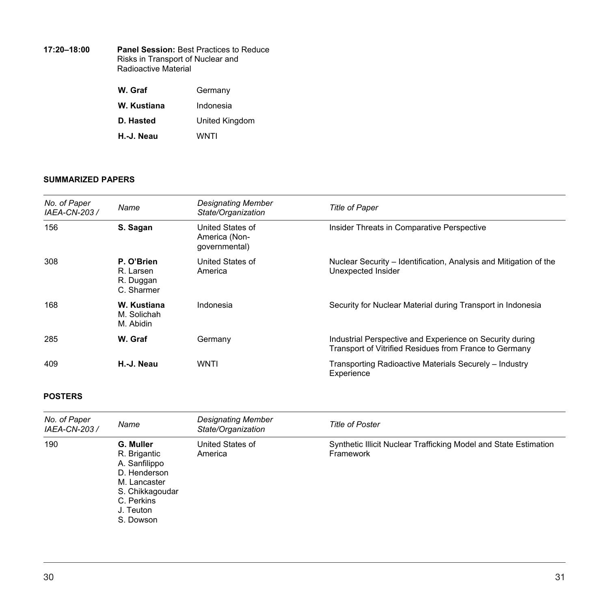| 17:20-18:00 | <b>Panel Session: Best Practices to Reduce</b>            |
|-------------|-----------------------------------------------------------|
|             | Risks in Transport of Nuclear and<br>Radioactive Material |
|             |                                                           |

| W. Graf     | Germany        |
|-------------|----------------|
| W. Kustiana | Indonesia      |
| D. Hasted   | United Kingdom |
| H. J. Neau  | WNTI           |

| No. of Paper<br>IAEA-CN-203 / | Name                                               | <b>Designating Member</b><br>State/Organization    | <b>Title of Paper</b>                                                                                              |
|-------------------------------|----------------------------------------------------|----------------------------------------------------|--------------------------------------------------------------------------------------------------------------------|
| 156                           | S. Sagan                                           | United States of<br>America (Non-<br>governmental) | Insider Threats in Comparative Perspective                                                                         |
| 308                           | P. O'Brien<br>R. Larsen<br>R. Duggan<br>C. Sharmer | United States of<br>America                        | Nuclear Security – Identification, Analysis and Mitigation of the<br>Unexpected Insider                            |
| 168                           | W. Kustiana<br>M. Solichah<br>M. Abidin            | Indonesia                                          | Security for Nuclear Material during Transport in Indonesia                                                        |
| 285                           | W. Graf                                            | Germany                                            | Industrial Perspective and Experience on Security during<br>Transport of Vitrified Residues from France to Germany |
| 409                           | H.-J. Neau                                         | <b>WNTI</b>                                        | Transporting Radioactive Materials Securely - Industry<br>Experience                                               |

| No. of Paper<br>IAEA-CN-203 / | Name                                                                                                                                  | <b>Designating Member</b><br>State/Organization | <b>Title of Poster</b>                                                        |
|-------------------------------|---------------------------------------------------------------------------------------------------------------------------------------|-------------------------------------------------|-------------------------------------------------------------------------------|
| 190                           | G. Muller<br>R. Brigantic<br>A. Sanfilippo<br>D. Henderson<br>M. Lancaster<br>S. Chikkagoudar<br>C. Perkins<br>J. Teuton<br>S. Dowson | United States of<br>America                     | Synthetic Illicit Nuclear Trafficking Model and State Estimation<br>Framework |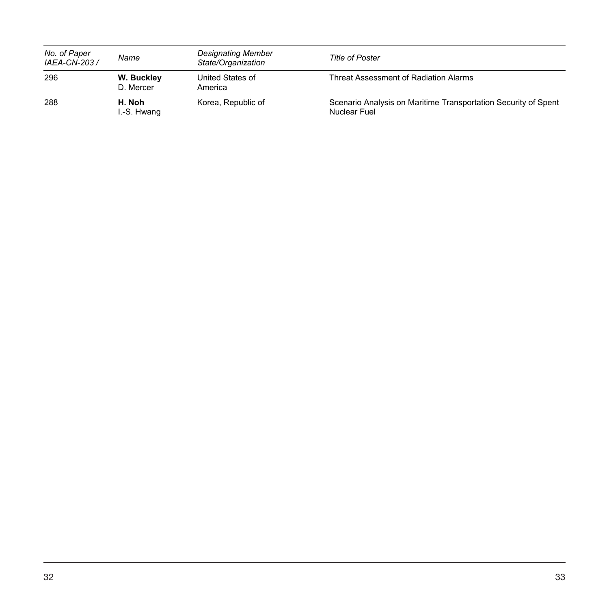| No. of Paper<br>IAEA-CN-203 / | Name                    | <b>Designating Member</b><br>State/Organization | Title of Poster                                                                |
|-------------------------------|-------------------------|-------------------------------------------------|--------------------------------------------------------------------------------|
| 296                           | W. Buckley<br>D. Mercer | United States of<br>America                     | Threat Assessment of Radiation Alarms                                          |
| 288                           | H. Noh<br>I.-S. Hwang   | Korea, Republic of                              | Scenario Analysis on Maritime Transportation Security of Spent<br>Nuclear Fuel |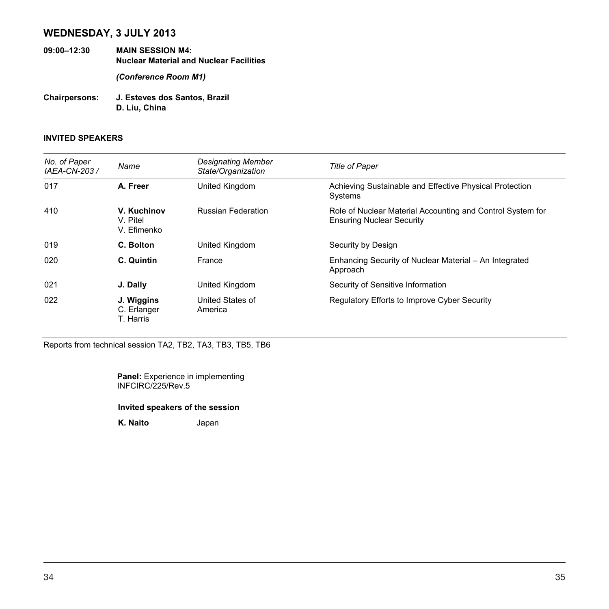# **WEDNESDAY, 3 JULY 2013**

**09:00–12:30 MAIN SESSION M4: Nuclear Material and Nuclear Facilities** 

*(Conference Room M1)* 

**Chairpersons: J. Esteves dos Santos, Brazil D. Liu, China** 

#### **INVITED SPEAKERS**

| No. of Paper<br>IAEA-CN-203 / | Name                                   | Designating Member<br>State/Organization | <b>Title of Paper</b>                                                                          |
|-------------------------------|----------------------------------------|------------------------------------------|------------------------------------------------------------------------------------------------|
| 017                           | A. Freer                               | United Kingdom                           | Achieving Sustainable and Effective Physical Protection<br>Systems                             |
| 410                           | V. Kuchinov<br>V. Pitel<br>V. Efimenko | <b>Russian Federation</b>                | Role of Nuclear Material Accounting and Control System for<br><b>Ensuring Nuclear Security</b> |
| 019                           | C. Bolton                              | United Kingdom                           | Security by Design                                                                             |
| 020                           | C. Quintin                             | France                                   | Enhancing Security of Nuclear Material - An Integrated<br>Approach                             |
| 021                           | J. Dally                               | United Kingdom                           | Security of Sensitive Information                                                              |
| 022                           | J. Wiggins<br>C. Erlanger<br>T. Harris | United States of<br>America              | Regulatory Efforts to Improve Cyber Security                                                   |

Reports from technical session TA2, TB2, TA3, TB3, TB5, TB6

**Panel:** Experience in implementing INFCIRC/225/Rev.5

#### **Invited speakers of the session**

**K. Naito** Japan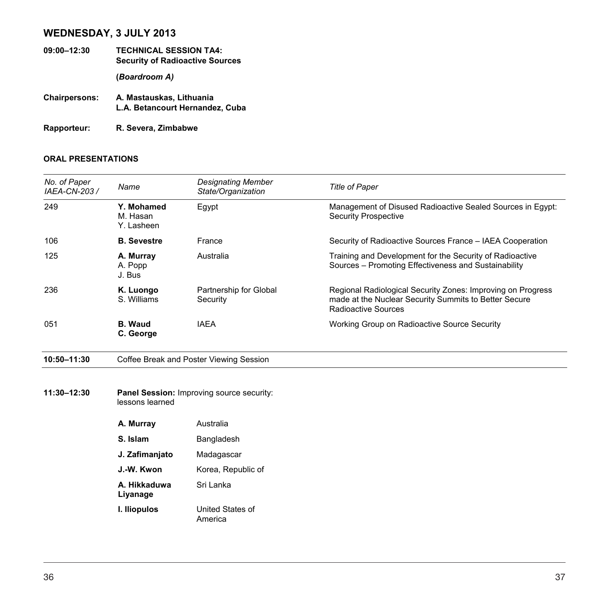# **WEDNESDAY, 3 JULY 2013**

- **09:00–12:30 TECHNICAL SESSION TA4: Security of Radioactive Sources (***Boardroom A)*
- **Chairpersons: A. Mastauskas, Lithuania L.A. Betancourt Hernandez, Cuba**

**Rapporteur: R. Severa, Zimbabwe**

| No. of Paper<br>IAEA-CN-203 / | Name                                 | <b>Designating Member</b><br>State/Organization  | <b>Title of Paper</b>                                                                                                                       |
|-------------------------------|--------------------------------------|--------------------------------------------------|---------------------------------------------------------------------------------------------------------------------------------------------|
| 249                           | Y. Mohamed<br>M. Hasan<br>Y. Lasheen | Egypt                                            | Management of Disused Radioactive Sealed Sources in Egypt:<br><b>Security Prospective</b>                                                   |
| 106                           | <b>B.</b> Sevestre                   | France                                           | Security of Radioactive Sources France - IAEA Cooperation                                                                                   |
| 125                           | A. Murray<br>A. Popp<br>J. Bus       | Australia                                        | Training and Development for the Security of Radioactive<br>Sources - Promoting Effectiveness and Sustainability                            |
| 236                           | K. Luongo<br>S. Williams             | Partnership for Global<br>Security               | Regional Radiological Security Zones: Improving on Progress<br>made at the Nuclear Security Summits to Better Secure<br>Radioactive Sources |
| 051                           | <b>B.</b> Waud<br>C. George          | <b>IAEA</b>                                      | Working Group on Radioactive Source Security                                                                                                |
| 10:50-11:30                   |                                      | Coffee Break and Poster Viewing Session          |                                                                                                                                             |
|                               |                                      |                                                  |                                                                                                                                             |
| 11:30-12:30                   | lessons learned                      | <b>Panel Session: Improving source security:</b> |                                                                                                                                             |
|                               | A. Murray                            | Australia                                        |                                                                                                                                             |

| S. Islam                 | Bangladesh                  |
|--------------------------|-----------------------------|
| J. Zafimanjato           | Madagascar                  |
| J.-W. Kwon               | Korea, Republic of          |
| A. Hikkaduwa<br>Liyanage | Sri Lanka                   |
| I. Iliopulos             | United States of<br>America |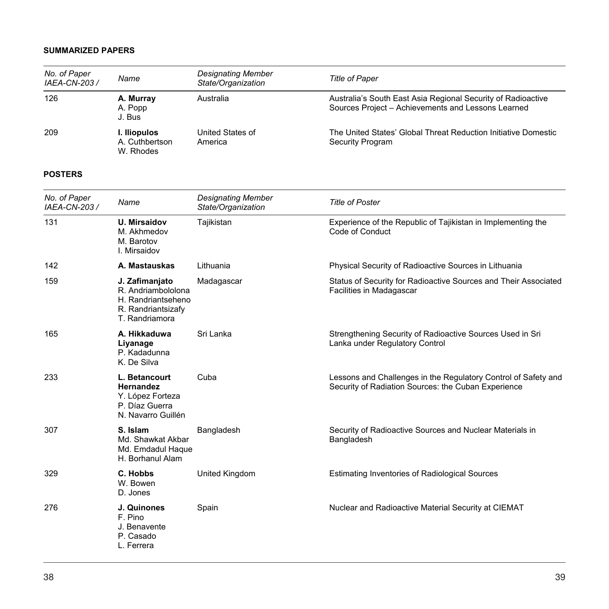| No. of Paper<br>IAEA-CN-203 / | Name                                        | <b>Designating Member</b><br>State/Organization | <b>Title of Paper</b>                                                                                              |
|-------------------------------|---------------------------------------------|-------------------------------------------------|--------------------------------------------------------------------------------------------------------------------|
| 126                           | A. Murray<br>A. Popp<br>J. Bus              | Australia                                       | Australia's South East Asia Regional Security of Radioactive<br>Sources Project - Achievements and Lessons Learned |
| 209                           | I. Iliopulos<br>A. Cuthbertson<br>W. Rhodes | United States of<br>America                     | The United States' Global Threat Reduction Initiative Domestic<br>Security Program                                 |

| No. of Paper<br>IAEA-CN-203 / | Name                                                                                               | <b>Designating Member</b><br>State/Organization | <b>Title of Poster</b>                                                                                                |
|-------------------------------|----------------------------------------------------------------------------------------------------|-------------------------------------------------|-----------------------------------------------------------------------------------------------------------------------|
| 131                           | <b>U. Mirsaidov</b><br>M. Akhmedov<br>M. Barotov<br>I. Mirsaidov                                   | Tajikistan                                      | Experience of the Republic of Tajikistan in Implementing the<br>Code of Conduct                                       |
| 142                           | A. Mastauskas                                                                                      | Lithuania                                       | Physical Security of Radioactive Sources in Lithuania                                                                 |
| 159                           | J. Zafimanjato<br>R. Andriambololona<br>H. Randriantseheno<br>R. Randriantsizafy<br>T. Randriamora | Madagascar                                      | Status of Security for Radioactive Sources and Their Associated<br>Facilities in Madagascar                           |
| 165                           | A. Hikkaduwa<br>Liyanage<br>P. Kadadunna<br>K. De Silva                                            | Sri Lanka                                       | Strengthening Security of Radioactive Sources Used in Sri<br>Lanka under Regulatory Control                           |
| 233                           | L. Betancourt<br><b>Hernandez</b><br>Y. López Forteza<br>P. Díaz Guerra<br>N. Navarro Guillén      | Cuba                                            | Lessons and Challenges in the Regulatory Control of Safety and<br>Security of Radiation Sources: the Cuban Experience |
| 307                           | S. Islam<br>Md. Shawkat Akbar<br>Md. Emdadul Haque<br>H. Borhanul Alam                             | Bangladesh                                      | Security of Radioactive Sources and Nuclear Materials in<br>Bangladesh                                                |
| 329                           | C. Hobbs<br>W. Bowen<br>D. Jones                                                                   | United Kingdom                                  | Estimating Inventories of Radiological Sources                                                                        |
| 276                           | J. Quinones<br>F. Pino<br>J. Benavente<br>P. Casado<br>L. Ferrera                                  | Spain                                           | Nuclear and Radioactive Material Security at CIEMAT                                                                   |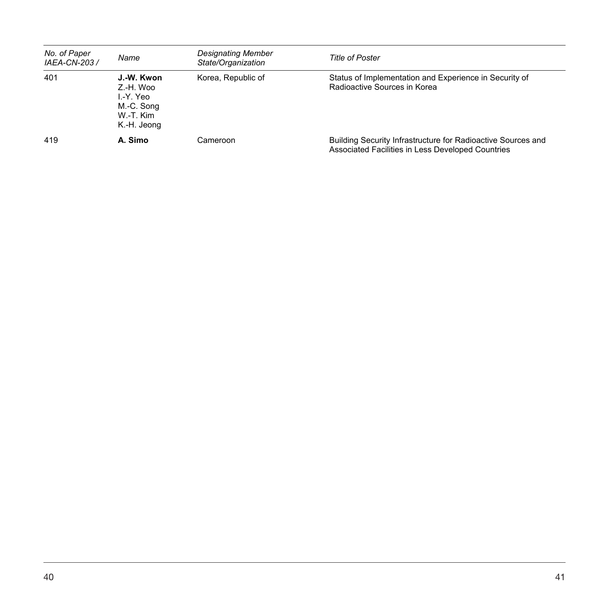| No. of Paper<br>IAEA-CN-203 / | Name                                                                          | <b>Designating Member</b><br>State/Organization | Title of Poster                                                                                                   |
|-------------------------------|-------------------------------------------------------------------------------|-------------------------------------------------|-------------------------------------------------------------------------------------------------------------------|
| 401                           | J.-W. Kwon<br>Z.-H. Woo<br>I -Y. Yeo<br>M.-C. Song<br>W-T. Kim<br>K.-H. Jeong | Korea, Republic of                              | Status of Implementation and Experience in Security of<br>Radioactive Sources in Korea                            |
| 419                           | A. Simo                                                                       | Cameroon                                        | Building Security Infrastructure for Radioactive Sources and<br>Associated Facilities in Less Developed Countries |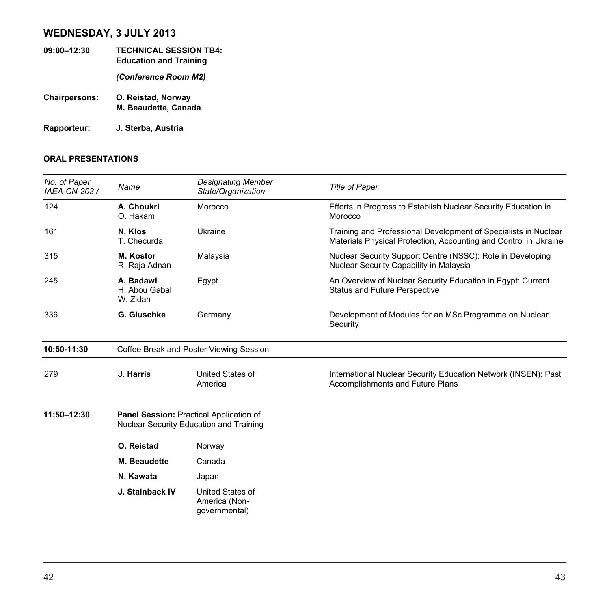# **WEDNESDAY, 3 JULY 2013**

**09:00–12:30 TECHNICAL SESSION TB4: Education and Training**  *(Conference Room M2)*  **Chairpersons: O. Reistad, Norway M. Beaudette, Canada Rapporteur: J. Sterba, Austria** 

| No. of Paper<br>IAEA-CN-203 / | Name                                   | <b>Designating Member</b><br>State/Organization                                    | <b>Title of Paper</b>                                                                                                               |
|-------------------------------|----------------------------------------|------------------------------------------------------------------------------------|-------------------------------------------------------------------------------------------------------------------------------------|
| 124                           | A. Choukri<br>O. Hakam                 | Morocco                                                                            | Efforts in Progress to Establish Nuclear Security Education in<br>Morocco                                                           |
| 161                           | N. Klos<br>T. Checurda                 | Ukraine                                                                            | Training and Professional Development of Specialists in Nuclear<br>Materials Physical Protection, Accounting and Control in Ukraine |
| 315                           | M. Kostor<br>R. Raja Adnan             | Malaysia                                                                           | Nuclear Security Support Centre (NSSC): Role in Developing<br>Nuclear Security Capability in Malaysia                               |
| 245                           | A. Badawi<br>H. Abou Gabal<br>W. Zidan | Egypt                                                                              | An Overview of Nuclear Security Education in Egypt: Current<br><b>Status and Future Perspective</b>                                 |
| 336                           | G. Gluschke                            | Germany                                                                            | Development of Modules for an MSc Programme on Nuclear<br>Security                                                                  |
| 10:50-11:30                   |                                        | Coffee Break and Poster Viewing Session                                            |                                                                                                                                     |
| 279                           | J. Harris                              | United States of<br>America                                                        | International Nuclear Security Education Network (INSEN): Past<br>Accomplishments and Future Plans                                  |
| 11:50-12:30                   |                                        | Panel Session: Practical Application of<br>Nuclear Security Education and Training |                                                                                                                                     |
|                               | O. Reistad                             | Norway                                                                             |                                                                                                                                     |
|                               | <b>M.</b> Beaudette                    | Canada                                                                             |                                                                                                                                     |
|                               | N. Kawata                              | Japan                                                                              |                                                                                                                                     |
|                               | J. Stainback IV                        | United States of<br>America (Non-<br>governmental)                                 |                                                                                                                                     |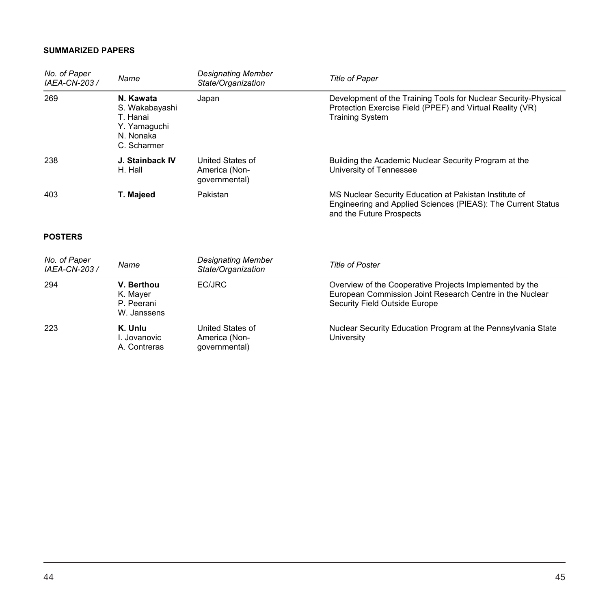| No. of Paper<br>IAEA-CN-203 / | Name                                                                                | Designating Member<br>State/Organization           | <b>Title of Paper</b>                                                                                                                                  |
|-------------------------------|-------------------------------------------------------------------------------------|----------------------------------------------------|--------------------------------------------------------------------------------------------------------------------------------------------------------|
| 269                           | N. Kawata<br>S. Wakabayashi<br>T. Hanai<br>Y. Yamaquchi<br>N. Nonaka<br>C. Scharmer | Japan                                              | Development of the Training Tools for Nuclear Security-Physical<br>Protection Exercise Field (PPEF) and Virtual Reality (VR)<br><b>Training System</b> |
| 238                           | J. Stainback IV<br>H. Hall                                                          | United States of<br>America (Non-<br>qovernmental) | Building the Academic Nuclear Security Program at the<br>University of Tennessee                                                                       |
| 403                           | T. Majeed                                                                           | Pakistan                                           | MS Nuclear Security Education at Pakistan Institute of<br>Engineering and Applied Sciences (PIEAS): The Current Status<br>and the Future Prospects     |

| No. of Paper<br>IAEA-CN-203 / | Name                                                | <b>Designating Member</b><br>State/Organization    | <b>Title of Poster</b>                                                                                                                               |
|-------------------------------|-----------------------------------------------------|----------------------------------------------------|------------------------------------------------------------------------------------------------------------------------------------------------------|
| 294                           | V. Berthou<br>K. Mayer<br>P. Peerani<br>W. Janssens | EC/JRC                                             | Overview of the Cooperative Projects Implemented by the<br>European Commission Joint Research Centre in the Nuclear<br>Security Field Outside Europe |
| 223                           | K. Unlu<br>I. Jovanovic<br>A. Contreras             | United States of<br>America (Non-<br>qovernmental) | Nuclear Security Education Program at the Pennsylvania State<br>University                                                                           |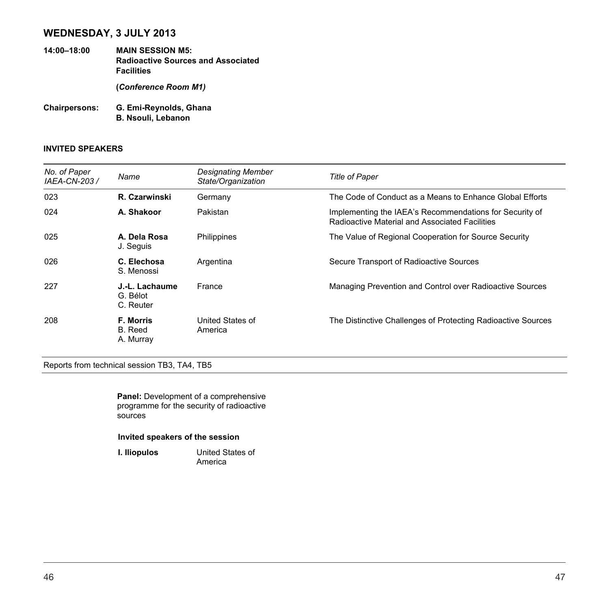# **WEDNESDAY, 3 JULY 2013**

- **14:00–18:00 MAIN SESSION M5: Radioactive Sources and Associated Facilities (***Conference Room M1)*
- **Chairpersons: G. Emi-Reynolds, Ghana B. Nsouli, Lebanon**

### **INVITED SPEAKERS**

| No. of Paper<br>IAEA-CN-203 / | Name                                     | Designating Member<br>State/Organization | <b>Title of Paper</b>                                                                                     |
|-------------------------------|------------------------------------------|------------------------------------------|-----------------------------------------------------------------------------------------------------------|
| 023                           | R. Czarwinski                            | Germany                                  | The Code of Conduct as a Means to Enhance Global Efforts                                                  |
| 024                           | A. Shakoor                               | Pakistan                                 | Implementing the IAEA's Recommendations for Security of<br>Radioactive Material and Associated Facilities |
| 025                           | A. Dela Rosa<br>J. Seguis                | Philippines                              | The Value of Regional Cooperation for Source Security                                                     |
| 026                           | C. Elechosa<br>S. Menossi                | Argentina                                | Secure Transport of Radioactive Sources                                                                   |
| 227                           | J.-L. Lachaume<br>G. Bélot<br>C. Reuter  | France                                   | Managing Prevention and Control over Radioactive Sources                                                  |
| 208                           | <b>F. Morris</b><br>B. Reed<br>A. Murray | United States of<br>America              | The Distinctive Challenges of Protecting Radioactive Sources                                              |

Reports from technical session TB3, TA4, TB5

**Panel:** Development of a comprehensive programme for the security of radioactive sources

#### **Invited speakers of the session**

**I. Iliopulos** United States of America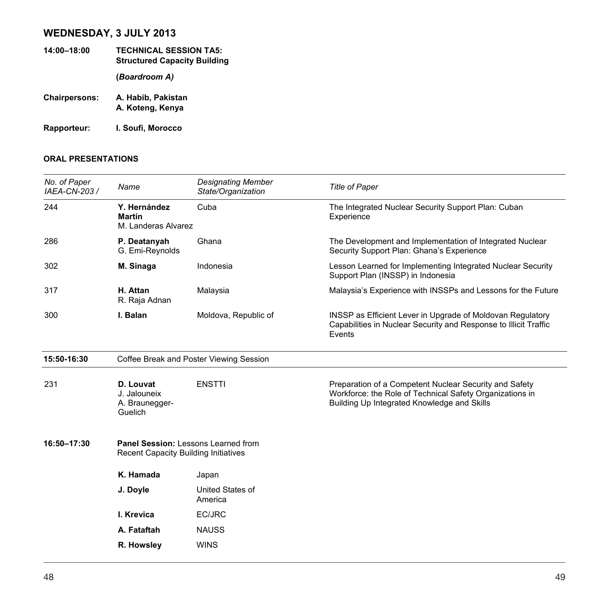# **WEDNESDAY, 3 JULY 2013**

- **14:00–18:00 TECHNICAL SESSION TA5: Structured Capacity Building (***Boardroom A)*  **Chairpersons: A. Habib, Pakistan A. Koteng, Kenya**
- **Rapporteur: I. Soufi, Morocco**

| No. of Paper<br>IAEA-CN-203 / | Name                                                                               | <b>Designating Member</b><br>State/Organization | <b>Title of Paper</b>                                                                                                                                             |  |
|-------------------------------|------------------------------------------------------------------------------------|-------------------------------------------------|-------------------------------------------------------------------------------------------------------------------------------------------------------------------|--|
| 244                           | Y. Hernández<br><b>Martín</b><br>M. Landeras Alvarez                               | Cuba                                            | The Integrated Nuclear Security Support Plan: Cuban<br>Experience                                                                                                 |  |
| 286                           | P. Deatanyah<br>G. Emi-Reynolds                                                    | Ghana                                           | The Development and Implementation of Integrated Nuclear<br>Security Support Plan: Ghana's Experience                                                             |  |
| 302                           | M. Sinaga                                                                          | Indonesia                                       | Lesson Learned for Implementing Integrated Nuclear Security<br>Support Plan (INSSP) in Indonesia                                                                  |  |
| 317                           | H. Attan<br>R. Raja Adnan                                                          | Malaysia                                        | Malaysia's Experience with INSSPs and Lessons for the Future                                                                                                      |  |
| 300                           | I. Balan                                                                           | Moldova, Republic of                            | INSSP as Efficient Lever in Upgrade of Moldovan Regulatory<br>Capabilities in Nuclear Security and Response to Illicit Traffic<br>Events                          |  |
| 15:50-16:30                   | Coffee Break and Poster Viewing Session                                            |                                                 |                                                                                                                                                                   |  |
| 231                           | D. Louvat<br>J. Jalouneix<br>A. Braunegger-<br>Guelich                             | <b>ENSTTI</b>                                   | Preparation of a Competent Nuclear Security and Safety<br>Workforce: the Role of Technical Safety Organizations in<br>Building Up Integrated Knowledge and Skills |  |
| 16:50-17:30                   | Panel Session: Lessons Learned from<br><b>Recent Capacity Building Initiatives</b> |                                                 |                                                                                                                                                                   |  |
|                               | K. Hamada                                                                          | Japan                                           |                                                                                                                                                                   |  |
|                               | J. Doyle                                                                           | United States of<br>America                     |                                                                                                                                                                   |  |
|                               | I. Krevica                                                                         | EC/JRC                                          |                                                                                                                                                                   |  |
|                               | A. Fataftah                                                                        | <b>NAUSS</b>                                    |                                                                                                                                                                   |  |
|                               | R. Howsley                                                                         | <b>WINS</b>                                     |                                                                                                                                                                   |  |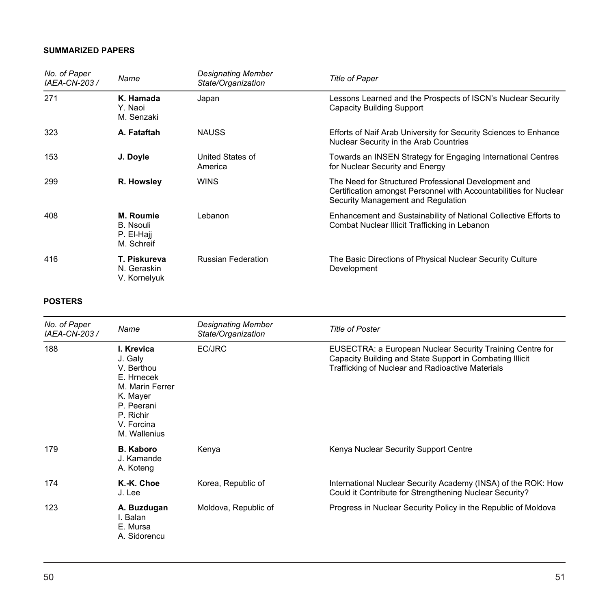| No. of Paper<br>IAEA-CN-203 / | Name                                               | Designating Member<br>State/Organization | <b>Title of Paper</b>                                                                                                                                           |
|-------------------------------|----------------------------------------------------|------------------------------------------|-----------------------------------------------------------------------------------------------------------------------------------------------------------------|
| 271                           | K. Hamada<br>Y. Naoi<br>M. Senzaki                 | Japan                                    | Lessons Learned and the Prospects of ISCN's Nuclear Security<br>Capacity Building Support                                                                       |
| 323                           | A. Fataftah                                        | <b>NAUSS</b>                             | Efforts of Naif Arab University for Security Sciences to Enhance<br>Nuclear Security in the Arab Countries                                                      |
| 153                           | J. Doyle                                           | United States of<br>America              | Towards an INSEN Strategy for Engaging International Centres<br>for Nuclear Security and Energy                                                                 |
| 299                           | R. Howsley                                         | <b>WINS</b>                              | The Need for Structured Professional Development and<br>Certification amongst Personnel with Accountabilities for Nuclear<br>Security Management and Regulation |
| 408                           | M. Roumie<br>B. Nsouli<br>P. El-Haji<br>M. Schreif | Lebanon                                  | Enhancement and Sustainability of National Collective Efforts to<br>Combat Nuclear Illicit Trafficking in Lebanon                                               |
| 416                           | T. Piskureva<br>N. Geraskin<br>V. Kornelyuk        | <b>Russian Federation</b>                | The Basic Directions of Physical Nuclear Security Culture<br>Development                                                                                        |

| No. of Paper<br>IAEA-CN-203 / | Name                                                                                                                                      | <b>Designating Member</b><br>State/Organization | <b>Title of Poster</b>                                                                                                                                                    |
|-------------------------------|-------------------------------------------------------------------------------------------------------------------------------------------|-------------------------------------------------|---------------------------------------------------------------------------------------------------------------------------------------------------------------------------|
| 188                           | I. Krevica<br>J. Galy<br>V. Berthou<br>E. Hrnecek<br>M. Marin Ferrer<br>K. Mayer<br>P. Peerani<br>P. Richir<br>V. Forcina<br>M. Wallenius | EC/JRC                                          | EUSECTRA: a European Nuclear Security Training Centre for<br>Capacity Building and State Support in Combating Illicit<br>Trafficking of Nuclear and Radioactive Materials |
| 179                           | <b>B. Kaboro</b><br>J. Kamande<br>A. Koteng                                                                                               | Kenya                                           | Kenya Nuclear Security Support Centre                                                                                                                                     |
| 174                           | K.-K. Choe<br>J. Lee                                                                                                                      | Korea, Republic of                              | International Nuclear Security Academy (INSA) of the ROK: How<br>Could it Contribute for Strengthening Nuclear Security?                                                  |
| 123                           | A. Buzdugan<br>I. Balan<br>E. Mursa<br>A. Sidorencu                                                                                       | Moldova, Republic of                            | Progress in Nuclear Security Policy in the Republic of Moldova                                                                                                            |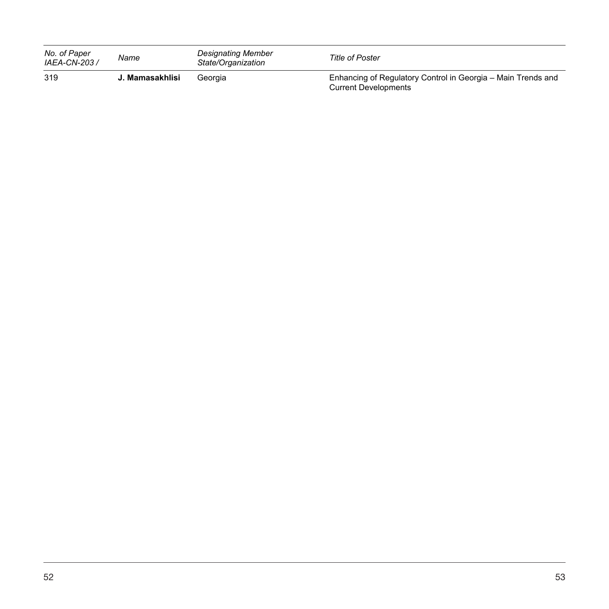| No. of Paper<br>IAEA-CN-203 / | Name            | <b>Designating Member</b><br>State/Organization | <b>Title of Poster</b>                                                                      |
|-------------------------------|-----------------|-------------------------------------------------|---------------------------------------------------------------------------------------------|
| 319                           | J. Mamasakhlisi | Georgia                                         | Enhancing of Regulatory Control in Georgia - Main Trends and<br><b>Current Developments</b> |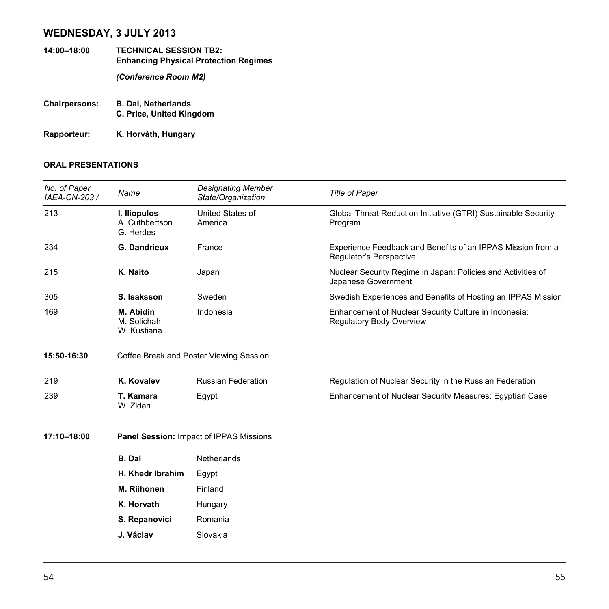# **WEDNESDAY, 3 JULY 2013**

- **14:00–18:00 TECHNICAL SESSION TB2: Enhancing Physical Protection Regimes**  *(Conference Room M2)*
- **Chairpersons: B. Dal, Netherlands C. Price, United Kingdom**
- **Rapporteur: K. Horváth, Hungary**

| No. of Paper<br>IAEA-CN-203 / | Name                                        | <b>Designating Member</b><br>State/Organization | <b>Title of Paper</b>                                                                  |  |
|-------------------------------|---------------------------------------------|-------------------------------------------------|----------------------------------------------------------------------------------------|--|
| 213                           | I. Iliopulos<br>A. Cuthbertson<br>G. Herdes | United States of<br>America                     | Global Threat Reduction Initiative (GTRI) Sustainable Security<br>Program              |  |
| 234                           | <b>G. Dandrieux</b>                         | France                                          | Experience Feedback and Benefits of an IPPAS Mission from a<br>Regulator's Perspective |  |
| 215                           | K. Naito                                    | Japan                                           | Nuclear Security Regime in Japan: Policies and Activities of<br>Japanese Government    |  |
| 305                           | S. Isaksson                                 | Sweden                                          | Swedish Experiences and Benefits of Hosting an IPPAS Mission                           |  |
| 169                           | M. Abidin<br>M. Solichah<br>W. Kustiana     | Indonesia                                       | Enhancement of Nuclear Security Culture in Indonesia:<br>Regulatory Body Overview      |  |
| 15:50-16:30                   |                                             | Coffee Break and Poster Viewing Session         |                                                                                        |  |
| 219                           | K. Kovalev                                  | <b>Russian Federation</b>                       | Regulation of Nuclear Security in the Russian Federation                               |  |
| 239                           | T. Kamara<br>W. Zidan                       | Egypt                                           | Enhancement of Nuclear Security Measures: Egyptian Case                                |  |
| 17:10-18:00                   |                                             | Panel Session: Impact of IPPAS Missions         |                                                                                        |  |
|                               | <b>B.</b> Dal                               | Netherlands                                     |                                                                                        |  |
|                               | H. Khedr Ibrahim                            | Egypt                                           |                                                                                        |  |
|                               | M. Riihonen                                 | Finland                                         |                                                                                        |  |
|                               | K. Horvath                                  | Hungary                                         |                                                                                        |  |
|                               | S. Repanovici                               | Romania                                         |                                                                                        |  |
|                               | J. Václav                                   | Slovakia                                        |                                                                                        |  |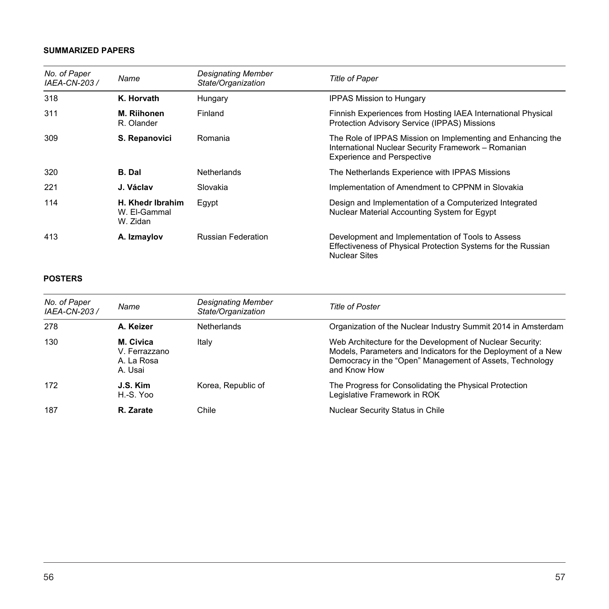| No. of Paper<br>IAEA-CN-203 / | Name                                         | <b>Designating Member</b><br>State/Organization | <b>Title of Paper</b>                                                                                                                                   |
|-------------------------------|----------------------------------------------|-------------------------------------------------|---------------------------------------------------------------------------------------------------------------------------------------------------------|
| 318                           | K. Horvath                                   | Hungary                                         | <b>IPPAS Mission to Hungary</b>                                                                                                                         |
| 311                           | M. Riihonen<br>R. Olander                    | Finland                                         | Finnish Experiences from Hosting IAEA International Physical<br>Protection Advisory Service (IPPAS) Missions                                            |
| 309                           | S. Repanovici                                | Romania                                         | The Role of IPPAS Mission on Implementing and Enhancing the<br>International Nuclear Security Framework - Romanian<br><b>Experience and Perspective</b> |
| 320                           | <b>B.</b> Dal                                | <b>Netherlands</b>                              | The Netherlands Experience with IPPAS Missions                                                                                                          |
| 221                           | J. Václav                                    | Slovakia                                        | Implementation of Amendment to CPPNM in Slovakia                                                                                                        |
| 114                           | H. Khedr Ibrahim<br>W. El-Gammal<br>W. Zidan | Egypt                                           | Design and Implementation of a Computerized Integrated<br>Nuclear Material Accounting System for Egypt                                                  |
| 413                           | A. Izmaylov                                  | <b>Russian Federation</b>                       | Development and Implementation of Tools to Assess<br>Effectiveness of Physical Protection Systems for the Russian<br><b>Nuclear Sites</b>               |

| No. of Paper<br>IAEA-CN-203 / | Name                                                | Designating Member<br>State/Organization | <b>Title of Poster</b>                                                                                                                                                                                 |
|-------------------------------|-----------------------------------------------------|------------------------------------------|--------------------------------------------------------------------------------------------------------------------------------------------------------------------------------------------------------|
| 278                           | A. Keizer                                           | <b>Netherlands</b>                       | Organization of the Nuclear Industry Summit 2014 in Amsterdam                                                                                                                                          |
| 130                           | M. Civica<br>V. Ferrazzano<br>A. La Rosa<br>A. Usai | Italy                                    | Web Architecture for the Development of Nuclear Security:<br>Models, Parameters and Indicators for the Deployment of a New<br>Democracy in the "Open" Management of Assets, Technology<br>and Know How |
| 172                           | J.S. Kim<br>H.-S. Yoo                               | Korea, Republic of                       | The Progress for Consolidating the Physical Protection<br>Legislative Framework in ROK                                                                                                                 |
| 187                           | R. Zarate                                           | Chile                                    | Nuclear Security Status in Chile                                                                                                                                                                       |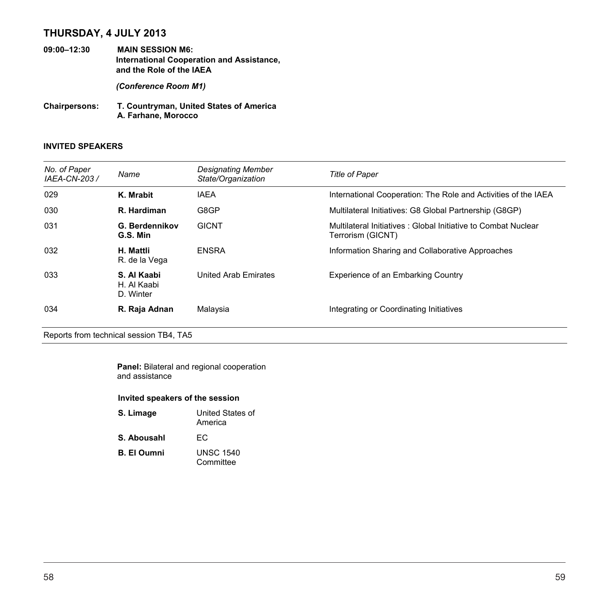# **THURSDAY, 4 JULY 2013**

**09:00–12:30 MAIN SESSION M6: International Cooperation and Assistance, and the Role of the IAEA** 

*(Conference Room M1)* 

**Chairpersons: T. Countryman, United States of America A. Farhane, Morocco**

### **INVITED SPEAKERS**

| No. of Paper<br>IAEA-CN-203 / | Name                                    | Designating Member<br>State/Organization | <b>Title of Paper</b>                                                              |
|-------------------------------|-----------------------------------------|------------------------------------------|------------------------------------------------------------------------------------|
| 029                           | K. Mrabit                               | <b>IAEA</b>                              | International Cooperation: The Role and Activities of the IAEA                     |
| 030                           | R. Hardiman                             | G8GP                                     | Multilateral Initiatives: G8 Global Partnership (G8GP)                             |
| 031                           | G. Berdennikov<br>G.S. Min              | <b>GICNT</b>                             | Multilateral Initiatives: Global Initiative to Combat Nuclear<br>Terrorism (GICNT) |
| 032                           | H. Mattli<br>R. de la Vega              | <b>ENSRA</b>                             | Information Sharing and Collaborative Approaches                                   |
| 033                           | S. Al Kaabi<br>H. Al Kaabi<br>D. Winter | United Arab Emirates                     | Experience of an Embarking Country                                                 |
| 034                           | R. Raja Adnan                           | Malaysia                                 | Integrating or Coordinating Initiatives                                            |

Reports from technical session TB4, TA5

|                | <b>Panel:</b> Bilateral and regional cooperation |  |
|----------------|--------------------------------------------------|--|
| and assistance |                                                  |  |

#### **Invited speakers of the session**

| S. Limage          | United States of<br>America   |
|--------------------|-------------------------------|
| S. Abousahl        | FC.                           |
| <b>B. El Oumni</b> | <b>UNSC 1540</b><br>Committee |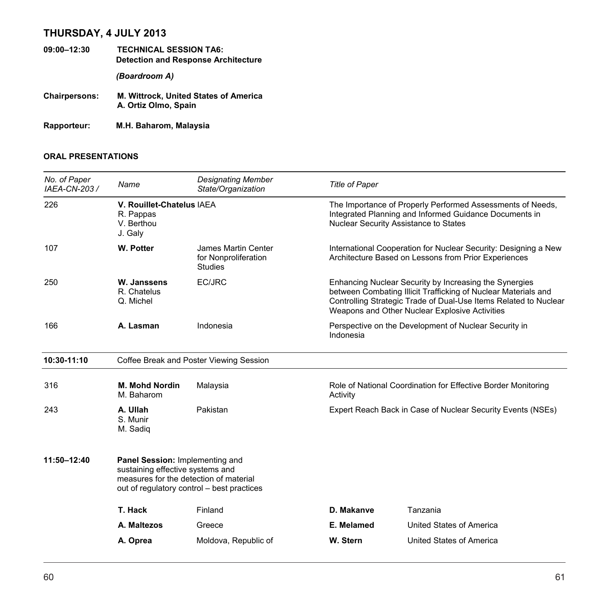# **THURSDAY, 4 JULY 2013**

- **09:00–12:30 TECHNICAL SESSION TA6: Detection and Response Architecture**  *(Boardroom A)*  **Chairpersons: M. Wittrock, United States of America**
- **A. Ortiz Olmo, Spain**

**Rapporteur: M.H. Baharom, Malaysia** 

| No. of Paper<br>IAEA-CN-203 / | Name                                                                                                                                                        | <b>Designating Member</b><br>State/Organization               | <b>Title of Paper</b> |                                                                                                                                                                                                                                                |
|-------------------------------|-------------------------------------------------------------------------------------------------------------------------------------------------------------|---------------------------------------------------------------|-----------------------|------------------------------------------------------------------------------------------------------------------------------------------------------------------------------------------------------------------------------------------------|
| 226                           | V. Rouillet-Chatelus IAEA<br>R. Pappas<br>V. Berthou<br>J. Galy                                                                                             |                                                               |                       | The Importance of Properly Performed Assessments of Needs,<br>Integrated Planning and Informed Guidance Documents in<br>Nuclear Security Assistance to States                                                                                  |
| 107                           | <b>W. Potter</b>                                                                                                                                            | James Martin Center<br>for Nonproliferation<br><b>Studies</b> |                       | International Cooperation for Nuclear Security: Designing a New<br>Architecture Based on Lessons from Prior Experiences                                                                                                                        |
| 250                           | W. Janssens<br>R. Chatelus<br>Q. Michel                                                                                                                     | EC/JRC                                                        |                       | Enhancing Nuclear Security by Increasing the Synergies<br>between Combating Illicit Trafficking of Nuclear Materials and<br>Controlling Strategic Trade of Dual-Use Items Related to Nuclear<br>Weapons and Other Nuclear Explosive Activities |
| 166                           | A. Lasman                                                                                                                                                   | Indonesia                                                     | Indonesia             | Perspective on the Development of Nuclear Security in                                                                                                                                                                                          |
| 10:30-11:10                   | Coffee Break and Poster Viewing Session                                                                                                                     |                                                               |                       |                                                                                                                                                                                                                                                |
| 316                           | <b>M. Mohd Nordin</b><br>M. Baharom                                                                                                                         | Malaysia                                                      |                       | Role of National Coordination for Effective Border Monitoring                                                                                                                                                                                  |
| 243                           | A. Ullah<br>S. Munir<br>M. Sadiq                                                                                                                            | Pakistan                                                      |                       | Expert Reach Back in Case of Nuclear Security Events (NSEs)                                                                                                                                                                                    |
| 11:50-12:40                   | Panel Session: Implementing and<br>sustaining effective systems and<br>measures for the detection of material<br>out of regulatory control – best practices |                                                               |                       |                                                                                                                                                                                                                                                |
|                               | T. Hack                                                                                                                                                     | Finland                                                       | D. Makanve            | Tanzania                                                                                                                                                                                                                                       |
|                               | A. Maltezos                                                                                                                                                 | Greece                                                        | E. Melamed            | United States of America                                                                                                                                                                                                                       |
|                               | A. Oprea                                                                                                                                                    | Moldova, Republic of                                          | W. Stern              | United States of America                                                                                                                                                                                                                       |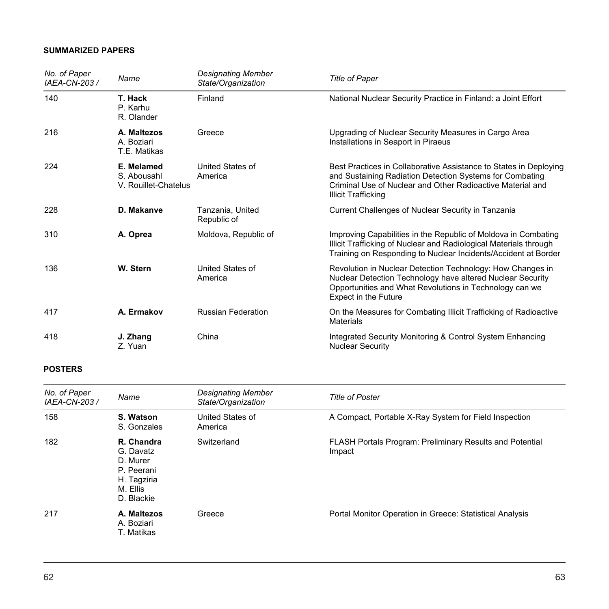| No. of Paper<br>IAEA-CN-203 / | Name                                              | <b>Designating Member</b><br>State/Organization | <b>Title of Paper</b>                                                                                                                                                                                                     |
|-------------------------------|---------------------------------------------------|-------------------------------------------------|---------------------------------------------------------------------------------------------------------------------------------------------------------------------------------------------------------------------------|
| 140                           | T. Hack<br>P. Karhu<br>R. Olander                 | Finland                                         | National Nuclear Security Practice in Finland: a Joint Effort                                                                                                                                                             |
| 216                           | A. Maltezos<br>A. Boziari<br>T.E. Matikas         | Greece                                          | Upgrading of Nuclear Security Measures in Cargo Area<br>Installations in Seaport in Piraeus                                                                                                                               |
| 224                           | E. Melamed<br>S. Abousahl<br>V. Rouillet-Chatelus | United States of<br>America                     | Best Practices in Collaborative Assistance to States in Deploying<br>and Sustaining Radiation Detection Systems for Combating<br>Criminal Use of Nuclear and Other Radioactive Material and<br><b>Illicit Trafficking</b> |
| 228                           | D. Makanve                                        | Tanzania, United<br>Republic of                 | Current Challenges of Nuclear Security in Tanzania                                                                                                                                                                        |
| 310                           | A. Oprea                                          | Moldova, Republic of                            | Improving Capabilities in the Republic of Moldova in Combating<br>Illicit Trafficking of Nuclear and Radiological Materials through<br>Training on Responding to Nuclear Incidents/Accident at Border                     |
| 136                           | W. Stern                                          | United States of<br>America                     | Revolution in Nuclear Detection Technology: How Changes in<br>Nuclear Detection Technology have altered Nuclear Security<br>Opportunities and What Revolutions in Technology can we<br><b>Expect in the Future</b>        |
| 417                           | A. Ermakov                                        | <b>Russian Federation</b>                       | On the Measures for Combating Illicit Trafficking of Radioactive<br>Materials                                                                                                                                             |
| 418                           | J. Zhang<br>Z. Yuan                               | China                                           | Integrated Security Monitoring & Control System Enhancing<br><b>Nuclear Security</b>                                                                                                                                      |

| No. of Paper<br>IAEA-CN-203 / | Name                                                                                       | <b>Designating Member</b><br>State/Organization | <b>Title of Poster</b>                                                    |
|-------------------------------|--------------------------------------------------------------------------------------------|-------------------------------------------------|---------------------------------------------------------------------------|
| 158                           | S. Watson<br>S. Gonzales                                                                   | United States of<br>America                     | A Compact, Portable X-Ray System for Field Inspection                     |
| 182                           | R. Chandra<br>G. Davatz<br>D. Murer<br>P. Peerani<br>H. Tagziria<br>M. Ellis<br>D. Blackie | Switzerland                                     | <b>FLASH Portals Program: Preliminary Results and Potential</b><br>Impact |
| 217                           | A. Maltezos<br>A. Boziari<br>T. Matikas                                                    | Greece                                          | Portal Monitor Operation in Greece: Statistical Analysis                  |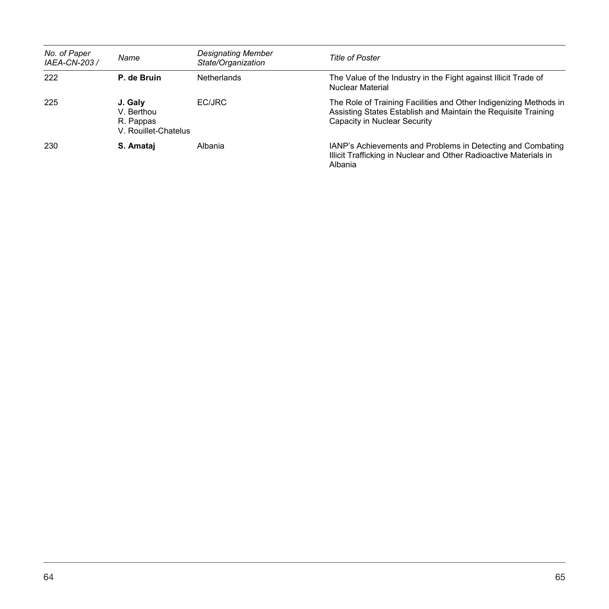| No. of Paper<br>IAEA-CN-203 / | Name                                                       | Designating Member<br>State/Organization | Title of Poster                                                                                                                                                     |
|-------------------------------|------------------------------------------------------------|------------------------------------------|---------------------------------------------------------------------------------------------------------------------------------------------------------------------|
| 222                           | P. de Bruin                                                | <b>Netherlands</b>                       | The Value of the Industry in the Fight against Illicit Trade of<br>Nuclear Material                                                                                 |
| 225                           | J. Galy<br>V. Berthou<br>R. Pappas<br>V. Rouillet-Chatelus | EC/JRC                                   | The Role of Training Facilities and Other Indigenizing Methods in<br>Assisting States Establish and Maintain the Requisite Training<br>Capacity in Nuclear Security |
| 230                           | S. Amatai                                                  | Albania                                  | IANP's Achievements and Problems in Detecting and Combating<br>Illicit Trafficking in Nuclear and Other Radioactive Materials in<br>Albania                         |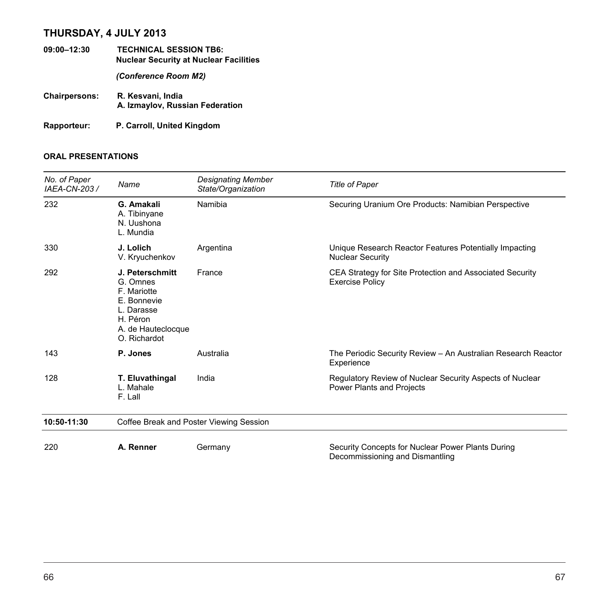# **THURSDAY, 4 JULY 2013**

- **09:00–12:30 TECHNICAL SESSION TB6: Nuclear Security at Nuclear Facilities**  *(Conference Room M2)*  **Chairpersons: R. Kesvani, India A. Izmaylov, Russian Federation**
- **Rapporteur: P. Carroll, United Kingdom**

| No. of Paper<br>IAEA-CN-203 / | Name                                                                                                                      | <b>Designating Member</b><br>State/Organization | <b>Title of Paper</b>                                                                 |
|-------------------------------|---------------------------------------------------------------------------------------------------------------------------|-------------------------------------------------|---------------------------------------------------------------------------------------|
| 232                           | G. Amakali<br>A. Tibinyane<br>N. Uushona<br>L. Mundia                                                                     | Namibia                                         | Securing Uranium Ore Products: Namibian Perspective                                   |
| 330                           | J. Lolich<br>V. Kryuchenkov                                                                                               | Argentina                                       | Unique Research Reactor Features Potentially Impacting<br><b>Nuclear Security</b>     |
| 292                           | J. Peterschmitt<br>G. Omnes<br>F. Mariotte<br>E. Bonnevie<br>L. Darasse<br>H. Péron<br>A. de Hauteclocque<br>O. Richardot | France                                          | CEA Strategy for Site Protection and Associated Security<br><b>Exercise Policy</b>    |
| 143                           | P. Jones                                                                                                                  | Australia                                       | The Periodic Security Review - An Australian Research Reactor<br>Experience           |
| 128                           | T. Eluvathingal<br>L. Mahale<br>F. Lall                                                                                   | India                                           | Regulatory Review of Nuclear Security Aspects of Nuclear<br>Power Plants and Projects |
| 10:50-11:30                   |                                                                                                                           | Coffee Break and Poster Viewing Session         |                                                                                       |
| 220                           | A. Renner                                                                                                                 | Germany                                         | Security Concepts for Nuclear Power Plants During<br>Decommissioning and Dismantling  |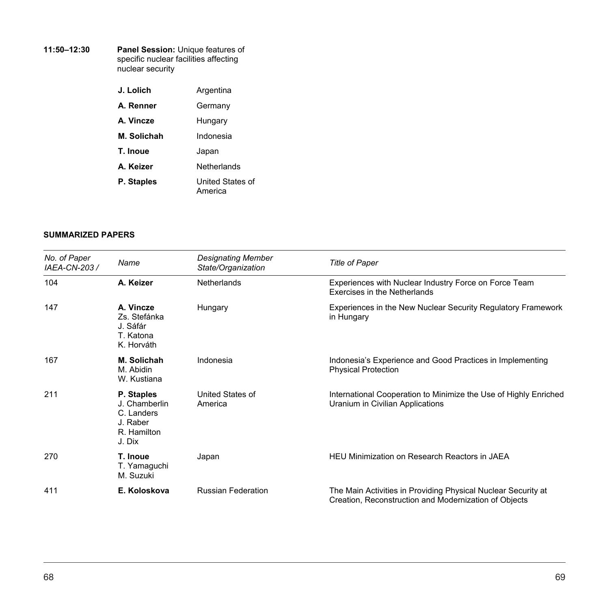#### **11:50–12:30 Panel Session:** Unique features of specific nuclear facilities affecting nuclear security

| J. Lolich   | Argentina                   |
|-------------|-----------------------------|
| A. Renner   | Germany                     |
| A. Vincze   | Hungary                     |
| M. Solichah | Indonesia                   |
| T. Inoue    | Japan                       |
| A. Keizer   | Netherlands                 |
| P. Staples  | United States of<br>America |

#### **SUMMARIZED PAPERS**

| No. of Paper<br>IAEA-CN-203 / | Name                                                                           | <b>Designating Member</b><br>State/Organization | <b>Title of Paper</b>                                                                                                  |
|-------------------------------|--------------------------------------------------------------------------------|-------------------------------------------------|------------------------------------------------------------------------------------------------------------------------|
| 104                           | A. Keizer                                                                      | <b>Netherlands</b>                              | Experiences with Nuclear Industry Force on Force Team<br>Exercises in the Netherlands                                  |
| 147                           | A. Vincze<br>Zs. Stefánka<br>J. Sáfár<br>T. Katona<br>K. Horváth               | Hungary                                         | Experiences in the New Nuclear Security Regulatory Framework<br>in Hungary                                             |
| 167                           | M. Solichah<br>M. Abidin<br>W. Kustiana                                        | Indonesia                                       | Indonesia's Experience and Good Practices in Implementing<br><b>Physical Protection</b>                                |
| 211                           | P. Staples<br>J. Chamberlin<br>C. Landers<br>J. Raber<br>R. Hamilton<br>J. Dix | United States of<br>America                     | International Cooperation to Minimize the Use of Highly Enriched<br>Uranium in Civilian Applications                   |
| 270                           | T. Inoue<br>T. Yamaguchi<br>M. Suzuki                                          | Japan                                           | <b>HEU Minimization on Research Reactors in JAEA</b>                                                                   |
| 411                           | E. Koloskova                                                                   | <b>Russian Federation</b>                       | The Main Activities in Providing Physical Nuclear Security at<br>Creation, Reconstruction and Modernization of Objects |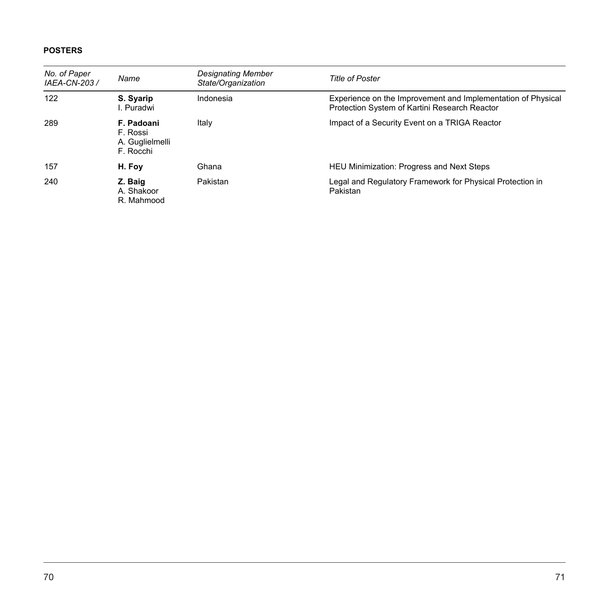| No. of Paper<br>IAEA-CN-203 / | Name                                                   | <b>Designating Member</b><br>State/Organization | <b>Title of Poster</b>                                                                                        |
|-------------------------------|--------------------------------------------------------|-------------------------------------------------|---------------------------------------------------------------------------------------------------------------|
| 122                           | S. Syarip<br>I. Puradwi                                | Indonesia                                       | Experience on the Improvement and Implementation of Physical<br>Protection System of Kartini Research Reactor |
| 289                           | F. Padoani<br>F. Rossi<br>A. Guglielmelli<br>F. Rocchi | Italy                                           | Impact of a Security Event on a TRIGA Reactor                                                                 |
| 157                           | H. Foy                                                 | Ghana                                           | HEU Minimization: Progress and Next Steps                                                                     |
| 240                           | Z. Baig<br>A. Shakoor<br>R. Mahmood                    | Pakistan                                        | Legal and Regulatory Framework for Physical Protection in<br>Pakistan                                         |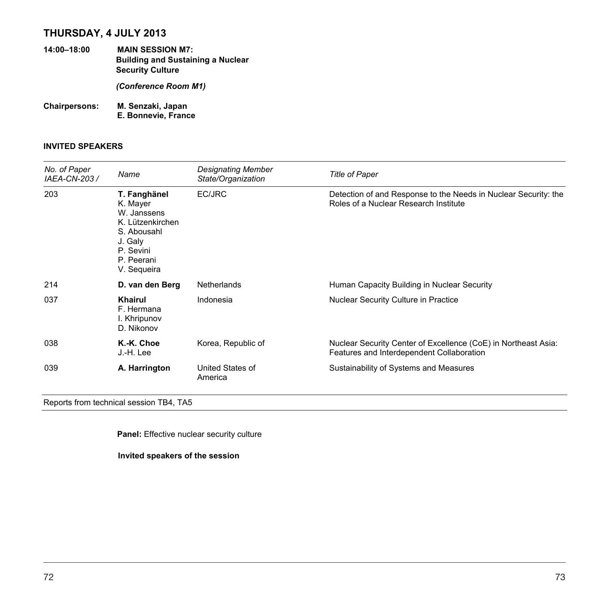# **THURSDAY, 4 JULY 2013**

- **14:00–18:00 MAIN SESSION M7: Building and Sustaining a Nuclear Security Culture**  *(Conference Room M1)*  **Chairpersons: M. Senzaki, Japan**
- **E. Bonnevie, France**

### **INVITED SPEAKERS**

| No. of Paper<br>IAEA-CN-203 / | Name                                                                                                                            | <b>Designating Member</b><br>State/Organization | <b>Title of Paper</b>                                                                                       |
|-------------------------------|---------------------------------------------------------------------------------------------------------------------------------|-------------------------------------------------|-------------------------------------------------------------------------------------------------------------|
| 203                           | T. Fanghänel<br>K. Mayer<br>W. Janssens<br>K. Lützenkirchen<br>S. Abousahl<br>J. Galy<br>P. Sevini<br>P. Peerani<br>V. Sequeira | EC/JRC                                          | Detection of and Response to the Needs in Nuclear Security: the<br>Roles of a Nuclear Research Institute    |
| 214                           | D. van den Berg                                                                                                                 | <b>Netherlands</b>                              | Human Capacity Building in Nuclear Security                                                                 |
| 037                           | Khairul<br>F. Hermana<br>I. Khripunov<br>D. Nikonov                                                                             | Indonesia                                       | Nuclear Security Culture in Practice                                                                        |
| 038                           | K.-K. Choe<br>J.-H. Lee                                                                                                         | Korea, Republic of                              | Nuclear Security Center of Excellence (CoE) in Northeast Asia:<br>Features and Interdependent Collaboration |
| 039                           | A. Harrington                                                                                                                   | United States of<br>America                     | Sustainability of Systems and Measures                                                                      |

Reports from technical session TB4, TA5

**Panel:** Effective nuclear security culture

**Invited speakers of the session**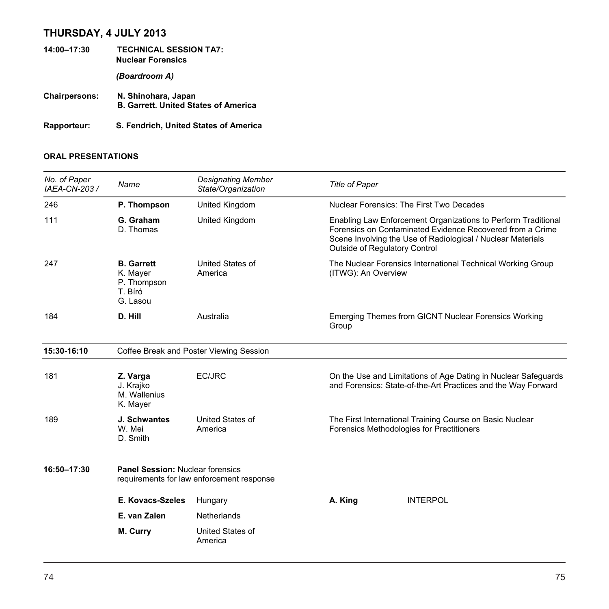# **THURSDAY, 4 JULY 2013**

- **14:00–17:30 TECHNICAL SESSION TA7: Nuclear Forensics**  *(Boardroom A)*  **Chairpersons: N. Shinohara, Japan B. Garrett. United States of America**
- **Rapporteur: S. Fendrich, United States of America**

| No. of Paper<br>IAEA-CN-203 / | Name                                                                | <b>Designating Member</b><br>State/Organization | <b>Title of Paper</b>                |                                                                                                                                                                                           |
|-------------------------------|---------------------------------------------------------------------|-------------------------------------------------|--------------------------------------|-------------------------------------------------------------------------------------------------------------------------------------------------------------------------------------------|
| 246                           | P. Thompson                                                         | United Kingdom                                  |                                      | Nuclear Forensics: The First Two Decades                                                                                                                                                  |
| 111                           | G. Graham<br>D. Thomas                                              | United Kingdom                                  | <b>Outside of Regulatory Control</b> | Enabling Law Enforcement Organizations to Perform Traditional<br>Forensics on Contaminated Evidence Recovered from a Crime<br>Scene Involving the Use of Radiological / Nuclear Materials |
| 247                           | <b>B.</b> Garrett<br>K. Mayer<br>P. Thompson<br>T. Bíró<br>G. Lasou | United States of<br>America                     | (ITWG): An Overview                  | The Nuclear Forensics International Technical Working Group                                                                                                                               |
| 184                           | D. Hill                                                             | Australia                                       | Group                                | Emerging Themes from GICNT Nuclear Forensics Working                                                                                                                                      |
| 15:30-16:10                   |                                                                     | Coffee Break and Poster Viewing Session         |                                      |                                                                                                                                                                                           |
| 181                           | Z. Varga<br>J. Krajko<br>M. Wallenius<br>K. Mayer                   | EC/JRC                                          |                                      | On the Use and Limitations of Age Dating in Nuclear Safeguards<br>and Forensics: State-of-the-Art Practices and the Way Forward                                                           |
| 189                           | J. Schwantes<br>W. Mei<br>D. Smith                                  | United States of<br>America                     |                                      | The First International Training Course on Basic Nuclear<br>Forensics Methodologies for Practitioners                                                                                     |
| 16:50-17:30                   | <b>Panel Session: Nuclear forensics</b>                             | requirements for law enforcement response       |                                      |                                                                                                                                                                                           |
|                               | E. Kovacs-Szeles                                                    | Hungary                                         | A. King                              | <b>INTERPOL</b>                                                                                                                                                                           |
|                               | E. van Zalen                                                        | Netherlands                                     |                                      |                                                                                                                                                                                           |
|                               | M. Curry                                                            | United States of<br>America                     |                                      |                                                                                                                                                                                           |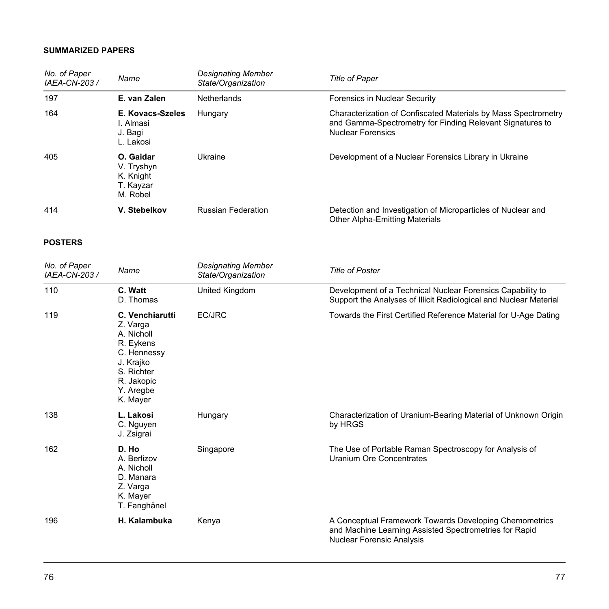| No. of Paper<br>IAEA-CN-203 / | Name                                                          | Designating Member<br>State/Organization | <b>Title of Paper</b>                                                                                                                                   |
|-------------------------------|---------------------------------------------------------------|------------------------------------------|---------------------------------------------------------------------------------------------------------------------------------------------------------|
| 197                           | E. van Zalen                                                  | <b>Netherlands</b>                       | Forensics in Nuclear Security                                                                                                                           |
| 164                           | E. Kovacs-Szeles<br>I. Almasi<br>J. Bagi<br>L. Lakosi         | Hungary                                  | Characterization of Confiscated Materials by Mass Spectrometry<br>and Gamma-Spectrometry for Finding Relevant Signatures to<br><b>Nuclear Forensics</b> |
| 405                           | O. Gaidar<br>V. Tryshyn<br>K. Knight<br>T. Kayzar<br>M. Robel | Ukraine                                  | Development of a Nuclear Forensics Library in Ukraine                                                                                                   |
| 414                           | V. Stebelkov                                                  | <b>Russian Federation</b>                | Detection and Investigation of Microparticles of Nuclear and<br><b>Other Alpha-Emitting Materials</b>                                                   |

| No. of Paper<br>IAEA-CN-203 / | Name                                                                                                                                    | Designating Member<br>State/Organization | <b>Title of Poster</b>                                                                                                                               |
|-------------------------------|-----------------------------------------------------------------------------------------------------------------------------------------|------------------------------------------|------------------------------------------------------------------------------------------------------------------------------------------------------|
| 110                           | C. Watt<br>D. Thomas                                                                                                                    | United Kingdom                           | Development of a Technical Nuclear Forensics Capability to<br>Support the Analyses of Illicit Radiological and Nuclear Material                      |
| 119                           | C. Venchiarutti<br>Z. Varga<br>A. Nicholl<br>R. Eykens<br>C. Hennessy<br>J. Krajko<br>S. Richter<br>R. Jakopic<br>Y. Aregbe<br>K. Mayer | EC/JRC                                   | Towards the First Certified Reference Material for U-Age Dating                                                                                      |
| 138                           | L. Lakosi<br>C. Nguyen<br>J. Zsigrai                                                                                                    | Hungary                                  | Characterization of Uranium-Bearing Material of Unknown Origin<br>by HRGS                                                                            |
| 162                           | D. Ho<br>A. Berlizov<br>A. Nicholl<br>D. Manara<br>Z. Varga<br>K. Mayer<br>T. Fanghänel                                                 | Singapore                                | The Use of Portable Raman Spectroscopy for Analysis of<br>Uranium Ore Concentrates                                                                   |
| 196                           | H. Kalambuka                                                                                                                            | Kenya                                    | A Conceptual Framework Towards Developing Chemometrics<br>and Machine Learning Assisted Spectrometries for Rapid<br><b>Nuclear Forensic Analysis</b> |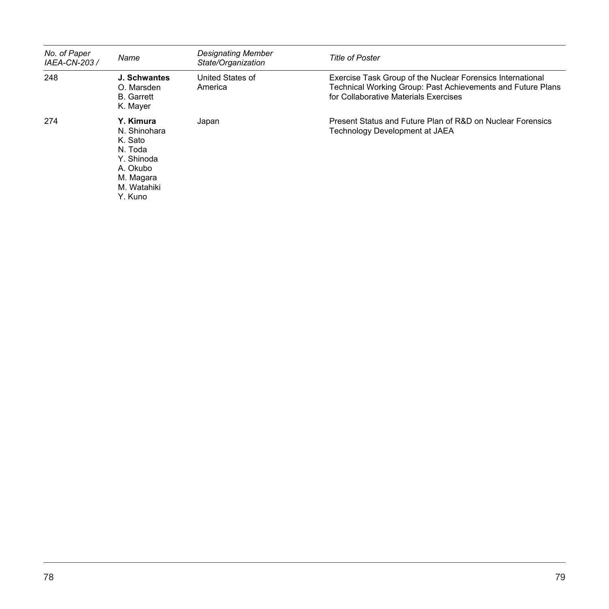| No. of Paper<br>IAEA-CN-203 / | Name                                                                                                             | <b>Designating Member</b><br>State/Organization | <b>Title of Poster</b>                                                                                                                                             |
|-------------------------------|------------------------------------------------------------------------------------------------------------------|-------------------------------------------------|--------------------------------------------------------------------------------------------------------------------------------------------------------------------|
| 248                           | J. Schwantes<br>O. Marsden<br><b>B.</b> Garrett<br>K. Mayer                                                      | United States of<br>America                     | Exercise Task Group of the Nuclear Forensics International<br>Technical Working Group: Past Achievements and Future Plans<br>for Collaborative Materials Exercises |
| 274                           | Y. Kimura<br>N. Shinohara<br>K. Sato<br>N. Toda<br>Y. Shinoda<br>A. Okubo<br>M. Magara<br>M. Watahiki<br>Y. Kuno | Japan                                           | Present Status and Future Plan of R&D on Nuclear Forensics<br>Technology Development at JAEA                                                                       |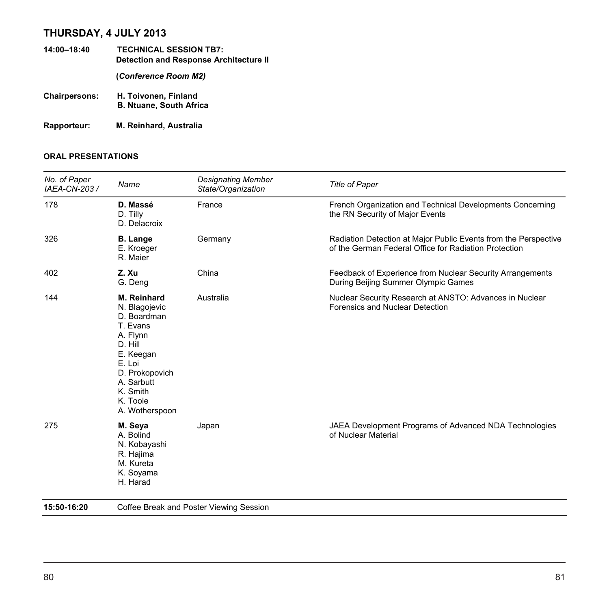# **THURSDAY, 4 JULY 2013**

- **14:00–18:40 TECHNICAL SESSION TB7: Detection and Response Architecture II (***Conference Room M2)*  **Chairpersons: H. Toivonen, Finland B. Ntuane, South Africa**
- **Rapporteur: M. Reinhard, Australia**

| No. of Paper<br>IAEA-CN-203 / | Name                                                                                                                                                                            | <b>Designating Member</b><br>State/Organization | <b>Title of Paper</b>                                                                                                    |
|-------------------------------|---------------------------------------------------------------------------------------------------------------------------------------------------------------------------------|-------------------------------------------------|--------------------------------------------------------------------------------------------------------------------------|
| 178                           | D. Massé<br>D. Tilly<br>D. Delacroix                                                                                                                                            | France                                          | French Organization and Technical Developments Concerning<br>the RN Security of Major Events                             |
| 326                           | <b>B.</b> Lange<br>E. Kroeger<br>R. Maier                                                                                                                                       | Germany                                         | Radiation Detection at Major Public Events from the Perspective<br>of the German Federal Office for Radiation Protection |
| 402                           | Z. Xu<br>G. Deng                                                                                                                                                                | China                                           | Feedback of Experience from Nuclear Security Arrangements<br>During Beijing Summer Olympic Games                         |
| 144                           | M. Reinhard<br>N. Blagojevic<br>D. Boardman<br>T. Evans<br>A. Flynn<br>D. Hill<br>E. Keegan<br>E. Loi<br>D. Prokopovich<br>A. Sarbutt<br>K. Smith<br>K. Toole<br>A. Wotherspoon | Australia                                       | Nuclear Security Research at ANSTO: Advances in Nuclear<br>Forensics and Nuclear Detection                               |
| 275                           | M. Seya<br>A. Bolind<br>N. Kobayashi<br>R. Hajima<br>M. Kureta<br>K. Soyama<br>H. Harad                                                                                         | Japan                                           | JAEA Development Programs of Advanced NDA Technologies<br>of Nuclear Material                                            |
| 15:50-16:20                   |                                                                                                                                                                                 | Coffee Break and Poster Viewing Session         |                                                                                                                          |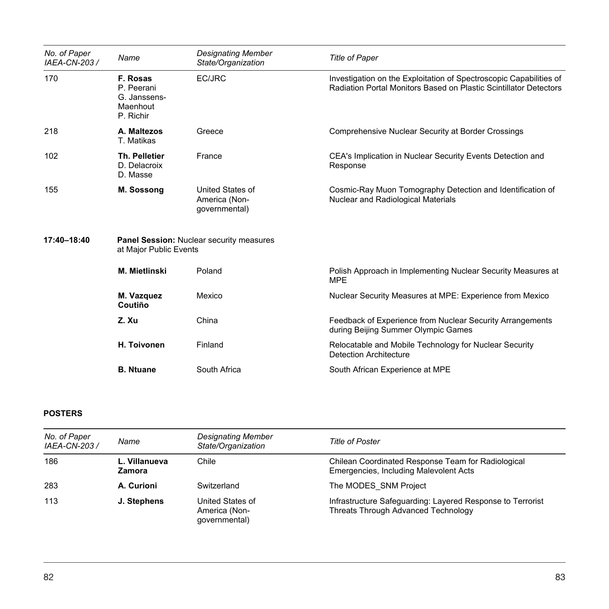| No. of Paper<br>IAEA-CN-203 / | Name                                                                      | <b>Designating Member</b><br>State/Organization    | <b>Title of Paper</b>                                                                                                                   |
|-------------------------------|---------------------------------------------------------------------------|----------------------------------------------------|-----------------------------------------------------------------------------------------------------------------------------------------|
| 170                           | F. Rosas<br>P. Peerani<br>G. Janssens-<br>Maenhout<br>P. Richir           | EC/JRC                                             | Investigation on the Exploitation of Spectroscopic Capabilities of<br>Radiation Portal Monitors Based on Plastic Scintillator Detectors |
| 218                           | A. Maltezos<br>T. Matikas                                                 | Greece                                             | Comprehensive Nuclear Security at Border Crossings                                                                                      |
| 102                           | <b>Th. Pelletier</b><br>D. Delacroix<br>D. Masse                          | France                                             | CEA's Implication in Nuclear Security Events Detection and<br>Response                                                                  |
| 155                           | M. Sossong                                                                | United States of<br>America (Non-<br>qovernmental) | Cosmic-Ray Muon Tomography Detection and Identification of<br>Nuclear and Radiological Materials                                        |
| 17:40-18:40                   | <b>Panel Session: Nuclear security measures</b><br>at Major Public Events |                                                    |                                                                                                                                         |
|                               | <b>M. Mietlinski</b>                                                      | Poland                                             | Polish Approach in Implementing Nuclear Security Measures at<br><b>MPE</b>                                                              |
|                               | M. Vazquez<br>Coutiño                                                     | Mexico                                             | Nuclear Security Measures at MPE: Experience from Mexico                                                                                |
|                               | Z.Xu                                                                      | China                                              | Feedback of Experience from Nuclear Security Arrangements<br>during Beijing Summer Olympic Games                                        |
|                               | H. Toivonen                                                               | Finland                                            | Relocatable and Mobile Technology for Nuclear Security<br><b>Detection Architecture</b>                                                 |
|                               | <b>B.</b> Ntuane                                                          | South Africa                                       | South African Experience at MPE                                                                                                         |

| No. of Paper<br>IAEA-CN-203 / | Name                    | <b>Designating Member</b><br>State/Organization    | <b>Title of Poster</b>                                                                                   |
|-------------------------------|-------------------------|----------------------------------------------------|----------------------------------------------------------------------------------------------------------|
| 186                           | L. Villanueva<br>Zamora | Chile                                              | Chilean Coordinated Response Team for Radiological<br>Emergencies, Including Malevolent Acts             |
| 283                           | A. Curioni              | Switzerland                                        | The MODES SNM Project                                                                                    |
| 113                           | J. Stephens             | United States of<br>America (Non-<br>qovernmental) | Infrastructure Safeguarding: Layered Response to Terrorist<br><b>Threats Through Advanced Technology</b> |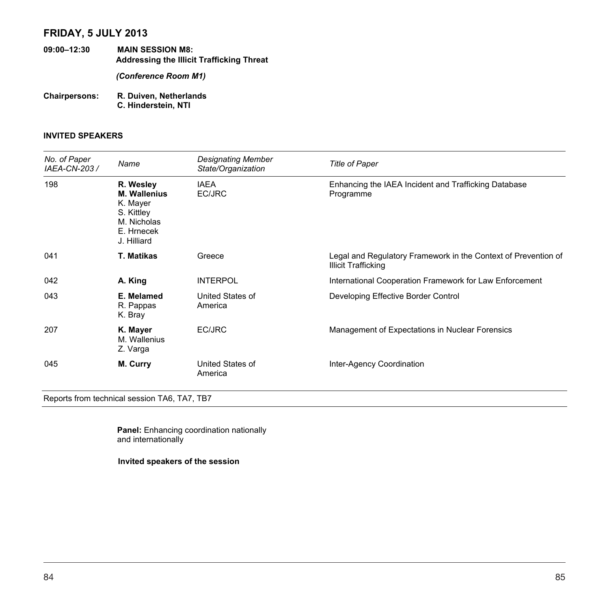# **FRIDAY, 5 JULY 2013**

- **09:00–12:30 MAIN SESSION M8: Addressing the Illicit Trafficking Threat**  *(Conference Room M1)*
- **Chairpersons: R. Duiven, Netherlands C. Hinderstein, NTI**

### **INVITED SPEAKERS**

| No. of Paper<br>IAEA-CN-203 / | Name                                                                                                   | <b>Designating Member</b><br>State/Organization | <b>Title of Paper</b>                                                                        |
|-------------------------------|--------------------------------------------------------------------------------------------------------|-------------------------------------------------|----------------------------------------------------------------------------------------------|
| 198                           | R. Wesley<br><b>M. Wallenius</b><br>K. Mayer<br>S. Kittley<br>M. Nicholas<br>E. Hrnecek<br>J. Hilliard | <b>IAEA</b><br>EC/JRC                           | Enhancing the IAEA Incident and Trafficking Database<br>Programme                            |
| 041                           | <b>T. Matikas</b>                                                                                      | Greece                                          | Legal and Regulatory Framework in the Context of Prevention of<br><b>Illicit Trafficking</b> |
| 042                           | A. King                                                                                                | <b>INTERPOL</b>                                 | International Cooperation Framework for Law Enforcement                                      |
| 043                           | E. Melamed<br>R. Pappas<br>K. Bray                                                                     | United States of<br>America                     | Developing Effective Border Control                                                          |
| 207                           | K. Mayer<br>M. Wallenius<br>Z. Varga                                                                   | EC/JRC                                          | Management of Expectations in Nuclear Forensics                                              |
| 045                           | M. Curry                                                                                               | United States of<br>America                     | Inter-Agency Coordination                                                                    |

Reports from technical session TA6, TA7, TB7

**Panel:** Enhancing coordination nationally and internationally

**Invited speakers of the session**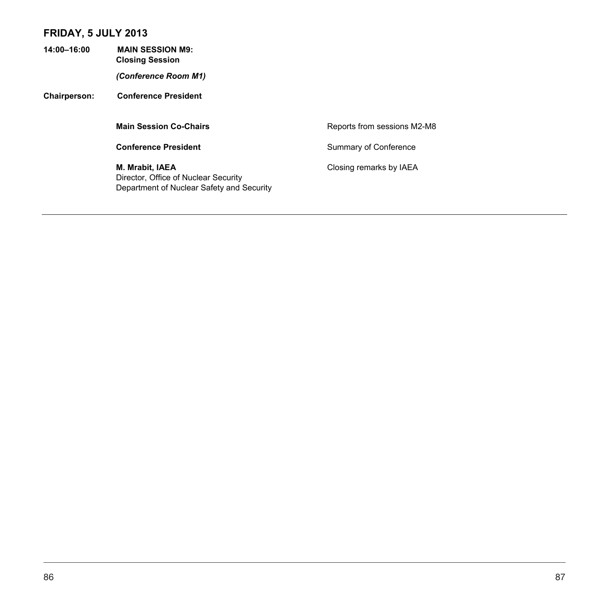# **FRIDAY, 5 JULY 2013**

**14:00–16:00 MAIN SESSION M9: Closing Session**  *(Conference Room M1)*  **Chairperson: Conference President Main Session Co-Chairs Reports from sessions M2-M8 Conference President** Summary of Conference **M. Mrabit, IAEA Closing remarks by IAEA** Director, Office of Nuclear Security Department of Nuclear Safety and Security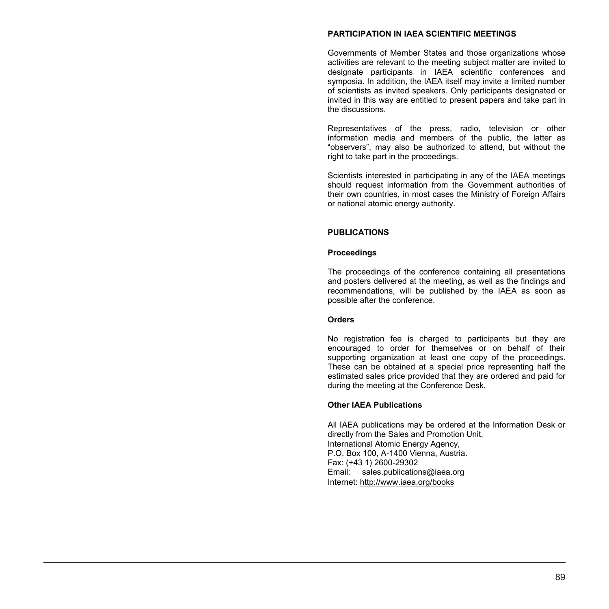#### **PARTICIPATION IN IAEA SCIENTIFIC MEETINGS**

Governments of Member States and those organizations whose activities are relevant to the meeting subject matter are invited to designate participants in IAEA scientific conferences and symposia. In addition, the IAEA itself may invite a limited number of scientists as invited speakers. Only participants designated or invited in this way are entitled to present papers and take part in the discussions.

Representatives of the press, radio, television or other information media and members of the public, the latter as "observers", may also be authorized to attend, but without the right to take part in the proceedings.

Scientists interested in participating in any of the IAEA meetings should request information from the Government authorities of their own countries, in most cases the Ministry of Foreign Affairs or national atomic energy authority.

#### **PUBLICATIONS**

#### **Proceedings**

The proceedings of the conference containing all presentations and posters delivered at the meeting, as well as the findings and recommendations, will be published by the IAEA as soon as possible after the conference.

#### **Orders**

No registration fee is charged to participants but they are encouraged to order for themselves or on behalf of their supporting organization at least one copy of the proceedings. These can be obtained at a special price representing half the estimated sales price provided that they are ordered and paid for during the meeting at the Conference Desk.

#### **Other IAEA Publications**

All IAEA publications may be ordered at the Information Desk or directly from the Sales and Promotion Unit, International Atomic Energy Agency, P.O. Box 100, A-1400 Vienna, Austria. Fax: (+43 1) 2600-29302 Email: sales.publications@iaea.org Internet: http://www.iaea.org/books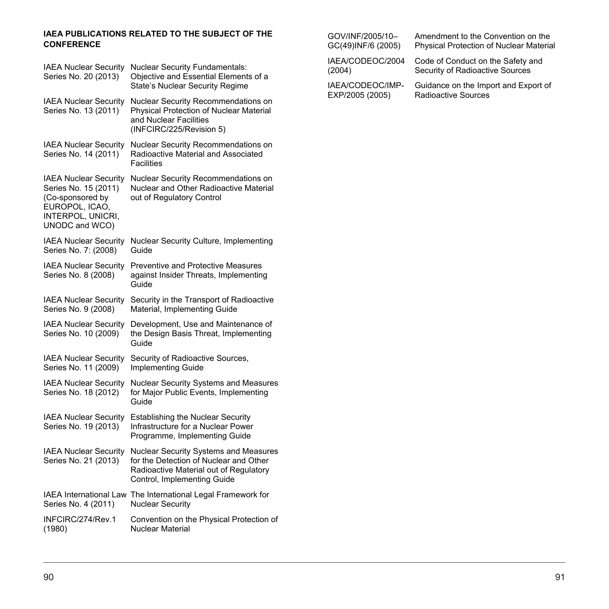#### **IAEA PUBLICATIONS RELATED TO THE SUBJECT OF THE CONFERENCE**

| <b>IAEA Nuclear Security</b><br>Series No. 20 (2013)                                                                              | <b>Nuclear Security Fundamentals:</b><br>Objective and Essential Elements of a<br>State's Nuclear Security Regime                                        |
|-----------------------------------------------------------------------------------------------------------------------------------|----------------------------------------------------------------------------------------------------------------------------------------------------------|
| <b>IAEA Nuclear Security</b><br>Series No. 13 (2011)                                                                              | Nuclear Security Recommendations on<br>Physical Protection of Nuclear Material<br>and Nuclear Facilities<br>(INFCIRC/225/Revision 5)                     |
| <b>IAEA Nuclear Security</b><br>Series No. 14 (2011)                                                                              | <b>Nuclear Security Recommendations on</b><br>Radioactive Material and Associated<br><b>Facilities</b>                                                   |
| <b>IAEA Nuclear Security</b><br>Series No. 15 (2011)<br>(Co-sponsored by<br>EUROPOL, ICAO,<br>INTERPOL, UNICRI,<br>UNODC and WCO) | Nuclear Security Recommendations on<br>Nuclear and Other Radioactive Material<br>out of Regulatory Control                                               |
| <b>IAEA Nuclear Security</b><br>Series No. 7: (2008)                                                                              | Nuclear Security Culture, Implementing<br>Guide                                                                                                          |
| <b>IAEA Nuclear Security</b><br>Series No. 8 (2008)                                                                               | <b>Preventive and Protective Measures</b><br>against Insider Threats, Implementing<br>Guide                                                              |
| <b>IAEA Nuclear Security</b><br>Series No. 9 (2008)                                                                               | Security in the Transport of Radioactive<br>Material, Implementing Guide                                                                                 |
| <b>IAEA Nuclear Security</b><br>Series No. 10 (2009)                                                                              | Development, Use and Maintenance of<br>the Design Basis Threat, Implementing<br>Guide                                                                    |
| <b>IAEA Nuclear Security</b><br>Series No. 11 (2009)                                                                              | Security of Radioactive Sources,<br><b>Implementing Guide</b>                                                                                            |
| <b>IAEA Nuclear Security</b><br>Series No. 18 (2012)                                                                              | Nuclear Security Systems and Measures<br>for Major Public Events, Implementing<br>Guide                                                                  |
| <b>IAEA Nuclear Security</b><br>Series No. 19 (2013)                                                                              | <b>Establishing the Nuclear Security</b><br>Infrastructure for a Nuclear Power<br>Programme, Implementing Guide                                          |
| <b>IAEA Nuclear Security</b><br>Series No. 21 (2013)                                                                              | Nuclear Security Systems and Measures<br>for the Detection of Nuclear and Other<br>Radioactive Material out of Regulatory<br>Control, Implementing Guide |
| <b>IAEA International Law</b><br>Series No. 4 (2011)                                                                              | The International Legal Framework for<br>Nuclear Security                                                                                                |
| INFCIRC/274/Rev.1<br>(1980)                                                                                                       | Convention on the Physical Protection of<br>Nuclear Material                                                                                             |

GOV/INF/2005/10– GC(49)INF/6 (2005) Amendment to the Convention on the Physical Protection of Nuclear Material

IAEA/CODEOC/2004 Code of Conduct on the Safety and Security of Radioactive Sources

IAEA/CODEOC/IMP-EXP/2005 (2005)

(2004)

Guidance on the Import and Export of Radioactive Sources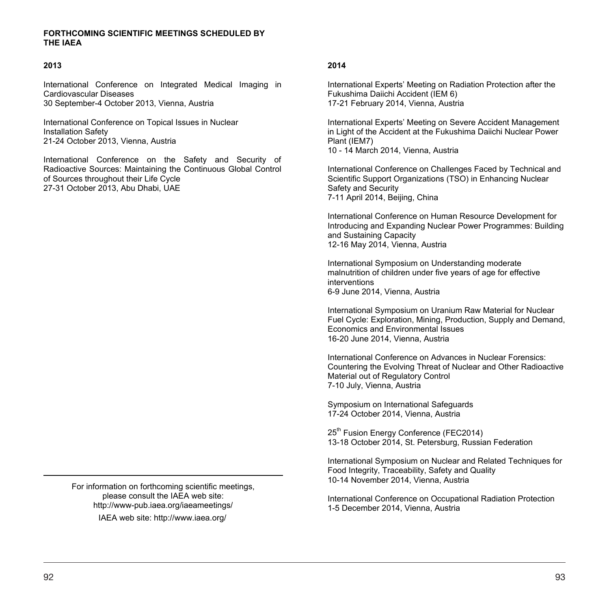#### **FORTHCOMING SCIENTIFIC MEETINGS SCHEDULED BY THE IAEA**

#### **2013**

International Conference on Integrated Medical Imaging in Cardiovascular Diseases 30 September-4 October 2013, Vienna, Austria

International Conference on Topical Issues in Nuclear Installation Safety 21-24 October 2013, Vienna, Austria

International Conference on the Safety and Security of Radioactive Sources: Maintaining the Continuous Global Control of Sources throughout their Life Cycle 27-31 October 2013, Abu Dhabi, UAE

> For information on forthcoming scientific meetings, please consult the IAEA web site: http://www-pub.iaea.org/iaeameetings/ IAEA web site: http://www.iaea.org/

#### **2014**

International Experts' Meeting on Radiation Protection after the Fukushima Daiichi Accident (IEM 6) 17-21 February 2014, Vienna, Austria

International Experts' Meeting on Severe Accident Management in Light of the Accident at the Fukushima Daiichi Nuclear Power Plant (IEM7) 10 - 14 March 2014, Vienna, Austria

International Conference on Challenges Faced by Technical and Scientific Support Organizations (TSO) in Enhancing Nuclear Safety and Security 7-11 April 2014, Beijing, China

International Conference on Human Resource Development for Introducing and Expanding Nuclear Power Programmes: Building and Sustaining Capacity 12-16 May 2014, Vienna, Austria

International Symposium on Understanding moderate malnutrition of children under five years of age for effective interventions 6-9 June 2014, Vienna, Austria

International Symposium on Uranium Raw Material for Nuclear Fuel Cycle: Exploration, Mining, Production, Supply and Demand, Economics and Environmental Issues 16-20 June 2014, Vienna, Austria

International Conference on Advances in Nuclear Forensics: Countering the Evolving Threat of Nuclear and Other Radioactive Material out of Regulatory Control 7-10 July, Vienna, Austria

Symposium on International Safeguards 17-24 October 2014, Vienna, Austria

25<sup>th</sup> Fusion Energy Conference (FEC2014) 13-18 October 2014, St. Petersburg, Russian Federation

International Symposium on Nuclear and Related Techniques for Food Integrity, Traceability, Safety and Quality 10-14 November 2014, Vienna, Austria

International Conference on Occupational Radiation Protection 1-5 December 2014, Vienna, Austria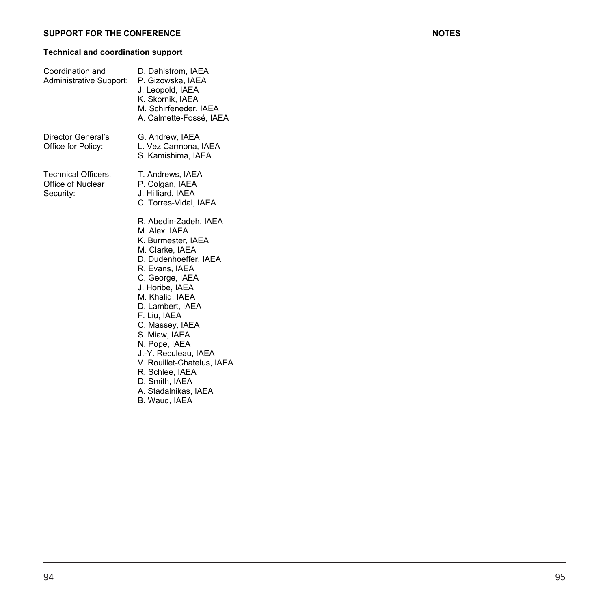### **Technical and coordination support**

| Coordination and<br>Administrative Support:           | D. Dahlstrom, IAEA<br>P. Gizowska, IAEA<br>J. Leopold, IAEA<br>K. Skornik, IAEA<br>M. Schirfeneder, IAEA<br>A. Calmette-Fossé, IAEA                                                                                                                                                                                                                                                                              |
|-------------------------------------------------------|------------------------------------------------------------------------------------------------------------------------------------------------------------------------------------------------------------------------------------------------------------------------------------------------------------------------------------------------------------------------------------------------------------------|
| Director General's<br>Office for Policy:              | G. Andrew, IAEA<br>L. Vez Carmona, IAEA<br>S. Kamishima, IAEA                                                                                                                                                                                                                                                                                                                                                    |
| Technical Officers,<br>Office of Nuclear<br>Security: | T. Andrews, IAEA<br>P. Colgan, IAEA<br>J. Hilliard, IAEA<br>C. Torres-Vidal, IAEA                                                                                                                                                                                                                                                                                                                                |
|                                                       | R. Abedin-Zadeh, IAEA<br>M. Alex, IAEA<br>K. Burmester, IAEA<br>M. Clarke, IAEA<br>D. Dudenhoeffer, IAEA<br>R. Evans, IAEA<br>C. George, IAEA<br>J. Horibe, IAEA<br>M. Khaliq, IAEA<br>D. Lambert, IAEA<br>F. Liu, IAEA<br>C. Massey, IAEA<br>S. Miaw, IAEA<br>N. Pope, IAEA<br>J.-Y. Reculeau, IAEA<br>V. Rouillet-Chatelus, IAEA<br>R. Schlee, IAEA<br>D. Smith, IAEA<br>A. Stadalnikas, IAEA<br>B. Waud, IAEA |